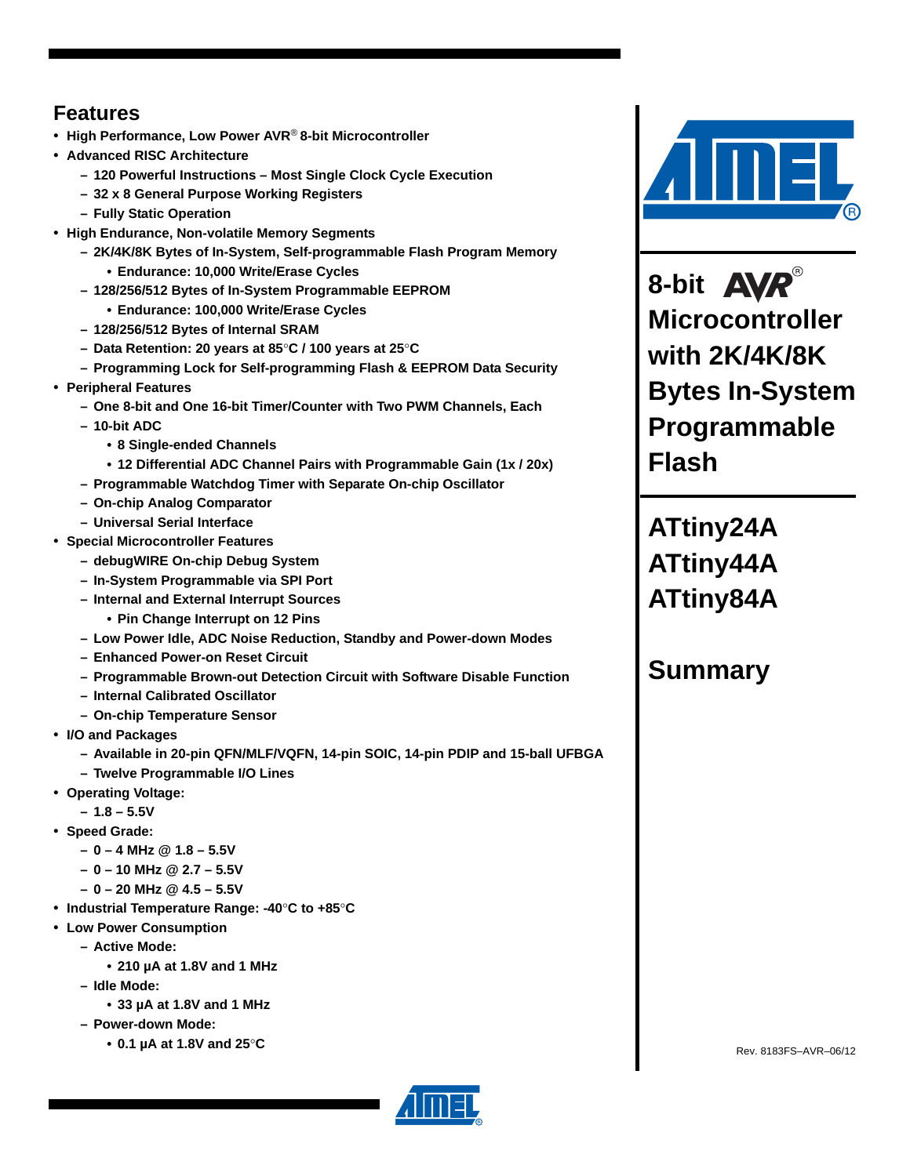# <span id="page-0-0"></span>**Features**

- **High Performance, Low Power AVR**® **8-bit Microcontroller**
- **Advanced RISC Architecture**
	- **120 Powerful Instructions Most Single Clock Cycle Execution**
	- **32 x 8 General Purpose Working Registers**
	- **Fully Static Operation**
- **High Endurance, Non-volatile Memory Segments**
	- **2K/4K/8K Bytes of In-System, Self-programmable Flash Program Memory • Endurance: 10,000 Write/Erase Cycles**
	- **128/256/512 Bytes of In-System Programmable EEPROM**
	- **Endurance: 100,000 Write/Erase Cycles**
	- **128/256/512 Bytes of Internal SRAM**
	- **Data Retention: 20 years at 85**°**C / 100 years at 25**°**C**
	- **Programming Lock for Self-programming Flash & EEPROM Data Security**
- **Peripheral Features**
	- **One 8-bit and One 16-bit Timer/Counter with Two PWM Channels, Each**
	- **10-bit ADC**
		- **8 Single-ended Channels**
		- **12 Differential ADC Channel Pairs with Programmable Gain (1x / 20x)**
	- **Programmable Watchdog Timer with Separate On-chip Oscillator**
	- **On-chip Analog Comparator**
	- **Universal Serial Interface**
- **Special Microcontroller Features**
	- **debugWIRE On-chip Debug System**
	- **In-System Programmable via SPI Port**
	- **Internal and External Interrupt Sources**
		- **Pin Change Interrupt on 12 Pins**
	- **Low Power Idle, ADC Noise Reduction, Standby and Power-down Modes**
	- **Enhanced Power-on Reset Circuit**
	- **Programmable Brown-out Detection Circuit with Software Disable Function**
	- **Internal Calibrated Oscillator**
	- **On-chip Temperature Sensor**
- **I/O and Packages**
	- **Available in 20-pin QFN/MLF/VQFN, 14-pin SOIC, 14-pin PDIP and 15-ball UFBGA**
	- **Twelve Programmable I/O Lines**
- **Operating Voltage:**
	- **1.8 5.5V**
- **Speed Grade:**
	- **0 4 MHz @ 1.8 5.5V**
	- **0 10 MHz @ 2.7 5.5V**
	- **0 20 MHz @ 4.5 5.5V**
- **Industrial Temperature Range: -40**°**C to +85**°**C**
- **Low Power Consumption**
	- **Active Mode:**
		- **210 µA at 1.8V and 1 MHz**
	- **Idle Mode:**
		- **33 µA at 1.8V and 1 MHz**
	- **Power-down Mode:**
		- **0.1 µA at 1.8V and 25**°**C**



8-bit **AVR**® **Microcontroller with 2K/4K/8K Bytes In-System Programmable Flash**

**ATtiny24A ATtiny44A ATtiny84A**

# **Summary**



Rev. 8183FS–AVR–06/12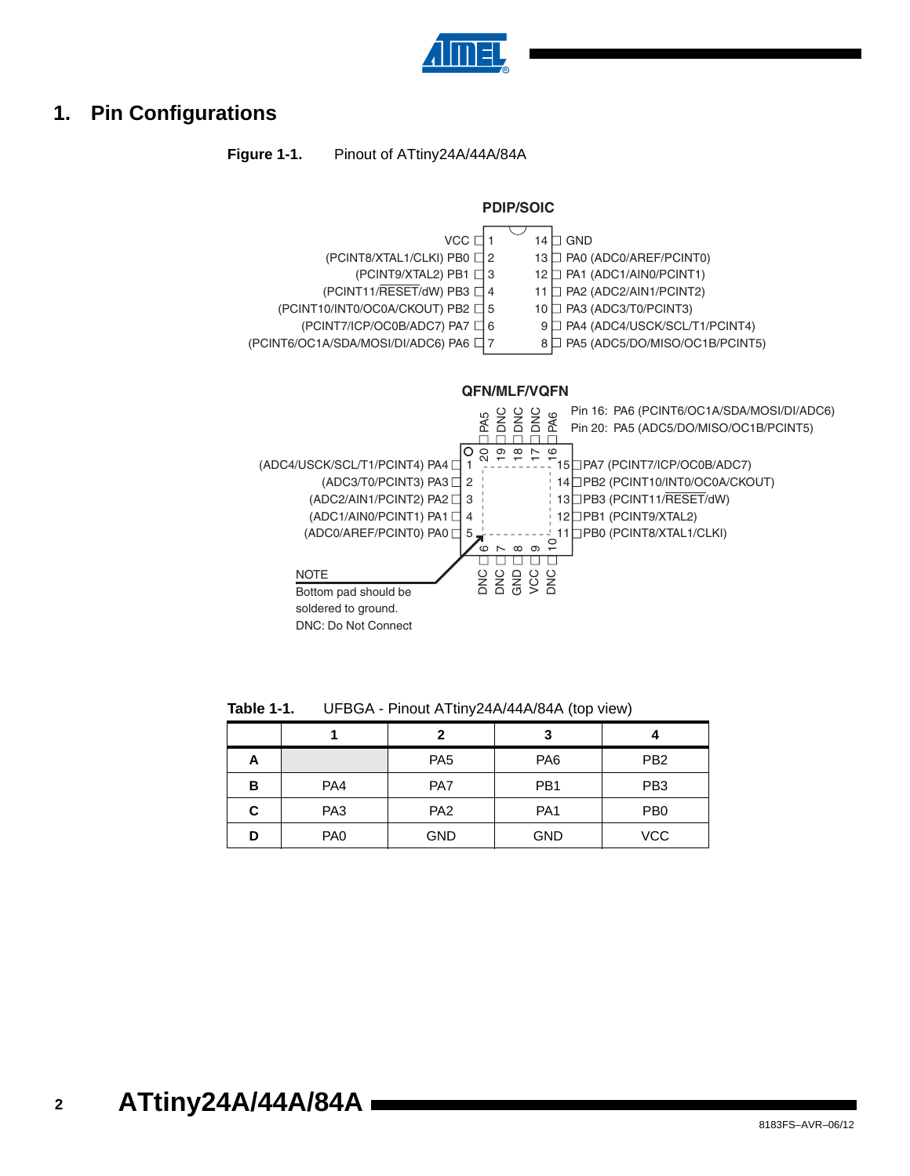

# <span id="page-1-0"></span>**1. Pin Configurations**

**Figure 1-1.** Pinout of ATtiny24A/44A/84A



**Table 1-1.** UFBGA - Pinout ATtiny24A/44A/84A (top view)

|   |                 | 7               | 3               |                 |
|---|-----------------|-----------------|-----------------|-----------------|
| А |                 | PA <sub>5</sub> | PA <sub>6</sub> | PB <sub>2</sub> |
| в | PA4             | PA7             | PB <sub>1</sub> | PB <sub>3</sub> |
| С | PA <sub>3</sub> | PA <sub>2</sub> | PA <sub>1</sub> | P <sub>B</sub>  |
| D | PA <sub>0</sub> | <b>GND</b>      | <b>GND</b>      | <b>VCC</b>      |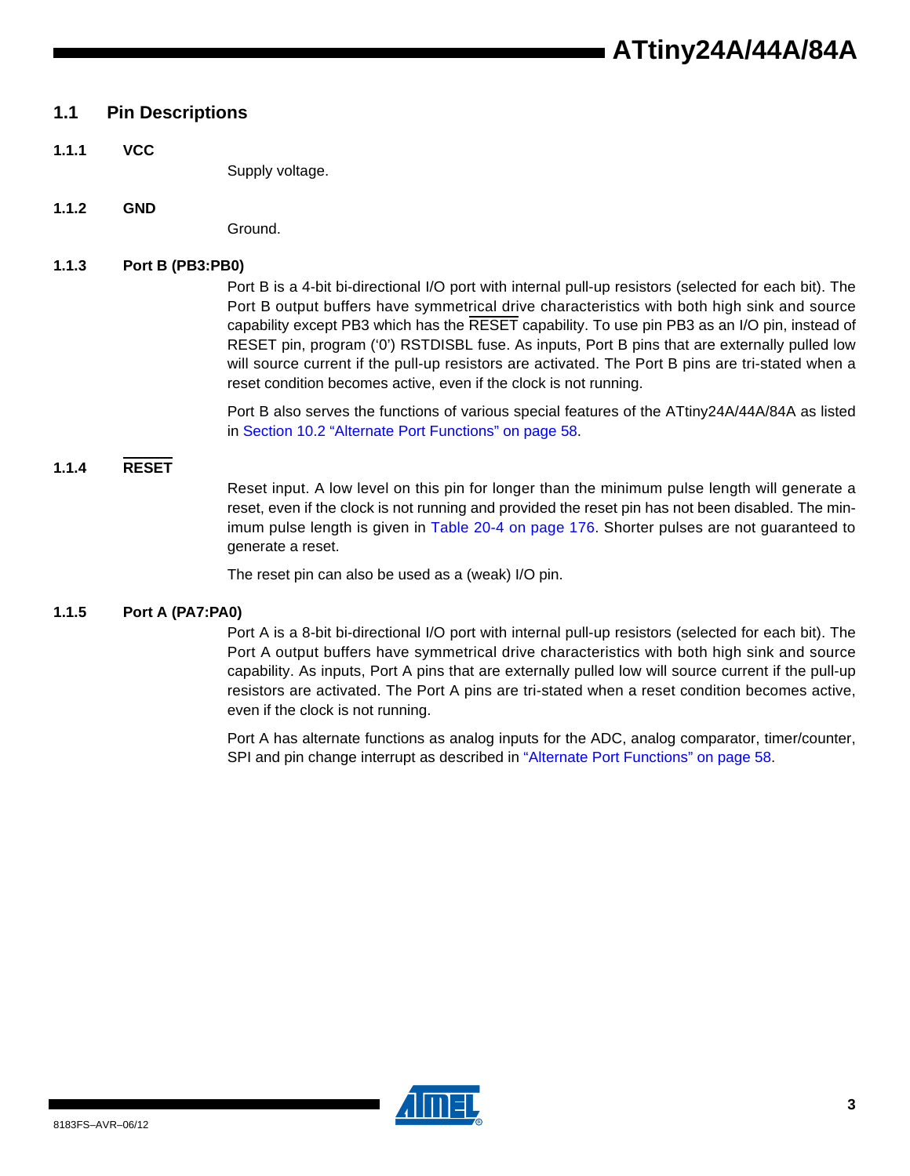# **1.1 Pin Descriptions**

**1.1.1 VCC**

Supply voltage.

**1.1.2 GND**

Ground.

#### **1.1.3 Port B (PB3:PB0)**

Port B is a 4-bit bi-directional I/O port with internal pull-up resistors (selected for each bit). The Port B output buffers have symmetrical drive characteristics with both high sink and source capability except PB3 which has the RESET capability. To use pin PB3 as an I/O pin, instead of RESET pin, program ('0') RSTDISBL fuse. As inputs, Port B pins that are externally pulled low will source current if the pull-up resistors are activated. The Port B pins are tri-stated when a reset condition becomes active, even if the clock is not running.

Port B also serves the functions of various special features of the ATtiny24A/44A/84A as listed in Section 10.2 "Alternate Port Functions" on page 58.

#### **1.1.4 RESET**

Reset input. A low level on this pin for longer than the minimum pulse length will generate a reset, even if the clock is not running and provided the reset pin has not been disabled. The minimum pulse length is given in Table 20-4 on page 176. Shorter pulses are not guaranteed to generate a reset.

The reset pin can also be used as a (weak) I/O pin.

#### **1.1.5 Port A (PA7:PA0)**

Port A is a 8-bit bi-directional I/O port with internal pull-up resistors (selected for each bit). The Port A output buffers have symmetrical drive characteristics with both high sink and source capability. As inputs, Port A pins that are externally pulled low will source current if the pull-up resistors are activated. The Port A pins are tri-stated when a reset condition becomes active, even if the clock is not running.

Port A has alternate functions as analog inputs for the ADC, analog comparator, timer/counter, SPI and pin change interrupt as described in "Alternate Port Functions" on page 58.

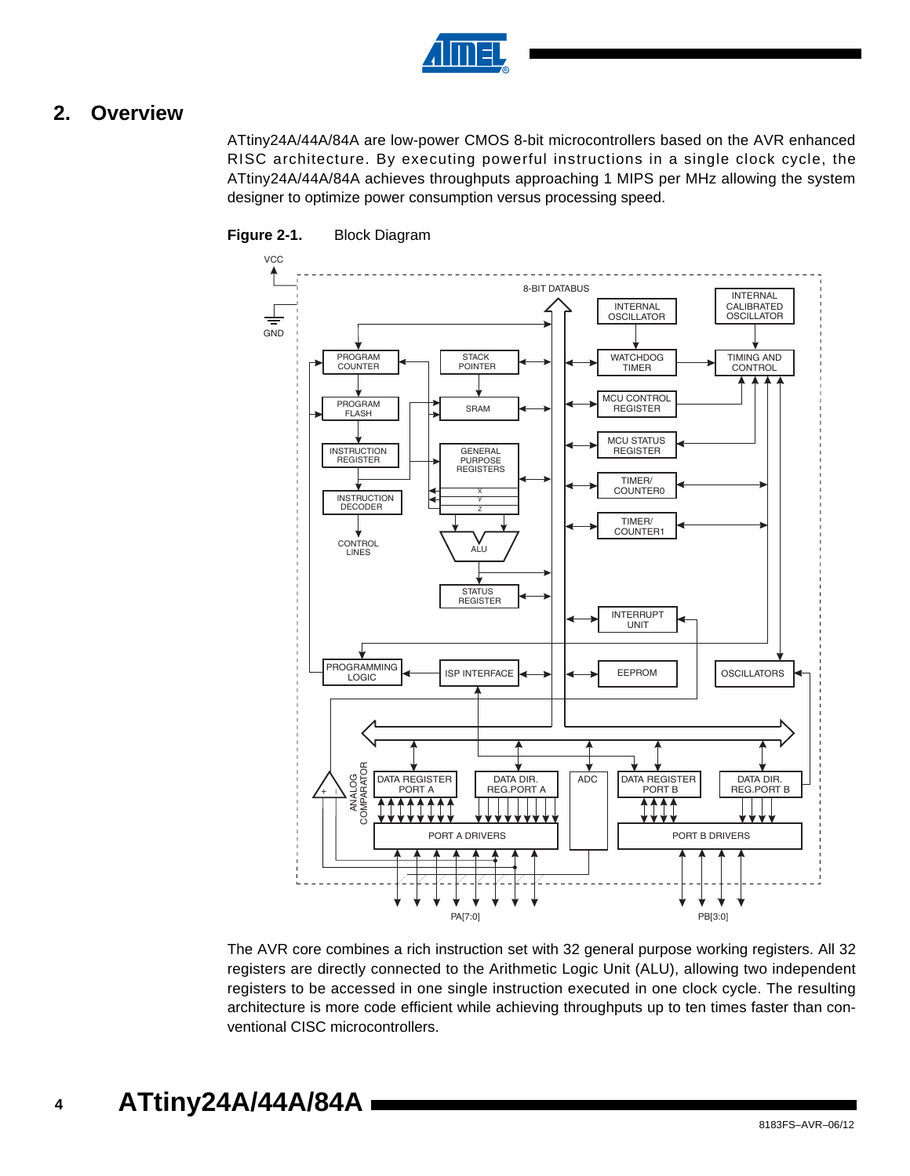

# **2. Overview**

ATtiny24A/44A/84A are low-power CMOS 8-bit microcontrollers based on the AVR enhanced RISC architecture. By executing powerful instructions in a single clock cycle, the ATtiny24A/44A/84A achieves throughputs approaching 1 MIPS per MHz allowing the system designer to optimize power consumption versus processing speed.



#### **Figure 2-1.** Block Diagram

The AVR core combines a rich instruction set with 32 general purpose working registers. All 32 registers are directly connected to the Arithmetic Logic Unit (ALU), allowing two independent registers to be accessed in one single instruction executed in one clock cycle. The resulting architecture is more code efficient while achieving throughputs up to ten times faster than conventional CISC microcontrollers.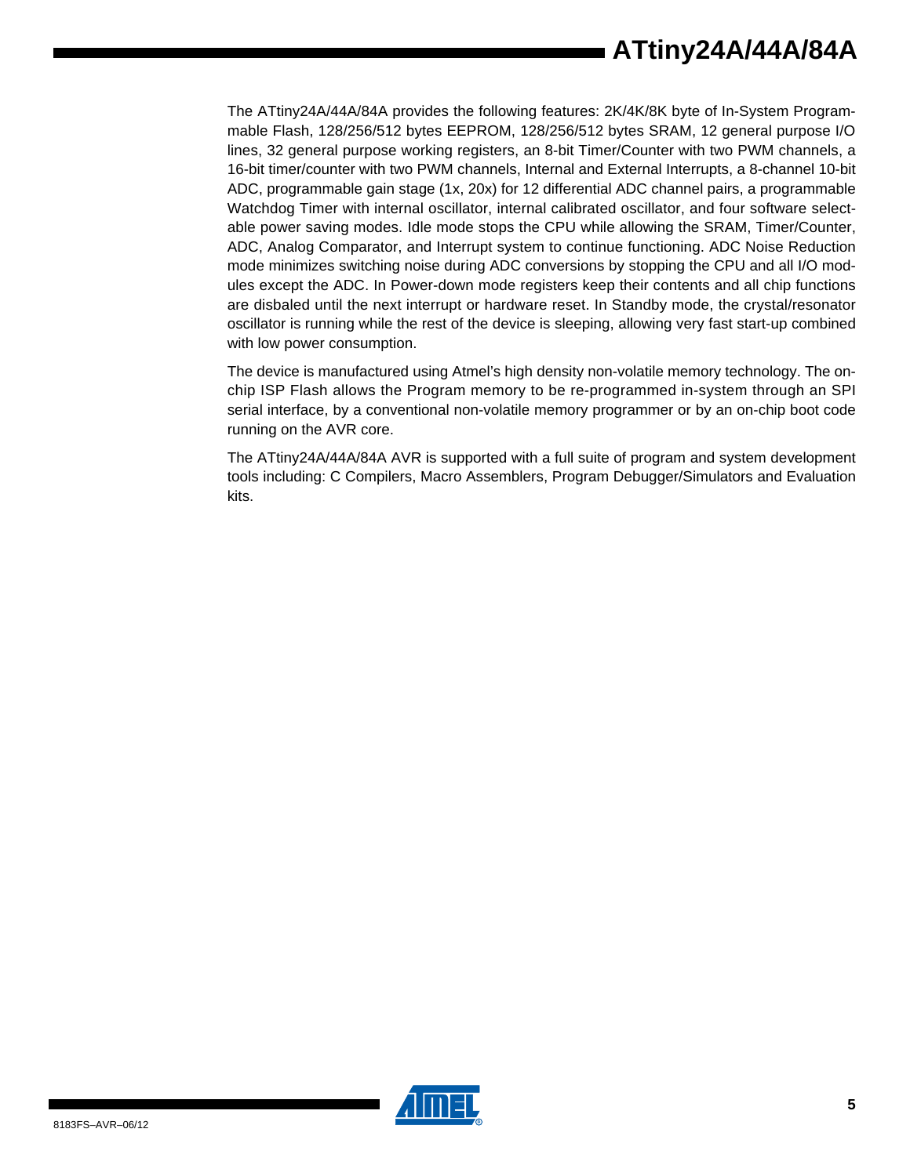The ATtiny24A/44A/84A provides the following features: 2K/4K/8K byte of In-System Programmable Flash, 128/256/512 bytes EEPROM, 128/256/512 bytes SRAM, 12 general purpose I/O lines, 32 general purpose working registers, an 8-bit Timer/Counter with two PWM channels, a 16-bit timer/counter with two PWM channels, Internal and External Interrupts, a 8-channel 10-bit ADC, programmable gain stage (1x, 20x) for 12 differential ADC channel pairs, a programmable Watchdog Timer with internal oscillator, internal calibrated oscillator, and four software selectable power saving modes. Idle mode stops the CPU while allowing the SRAM, Timer/Counter, ADC, Analog Comparator, and Interrupt system to continue functioning. ADC Noise Reduction mode minimizes switching noise during ADC conversions by stopping the CPU and all I/O modules except the ADC. In Power-down mode registers keep their contents and all chip functions are disbaled until the next interrupt or hardware reset. In Standby mode, the crystal/resonator oscillator is running while the rest of the device is sleeping, allowing very fast start-up combined with low power consumption.

The device is manufactured using Atmel's high density non-volatile memory technology. The onchip ISP Flash allows the Program memory to be re-programmed in-system through an SPI serial interface, by a conventional non-volatile memory programmer or by an on-chip boot code running on the AVR core.

The ATtiny24A/44A/84A AVR is supported with a full suite of program and system development tools including: C Compilers, Macro Assemblers, Program Debugger/Simulators and Evaluation kits.

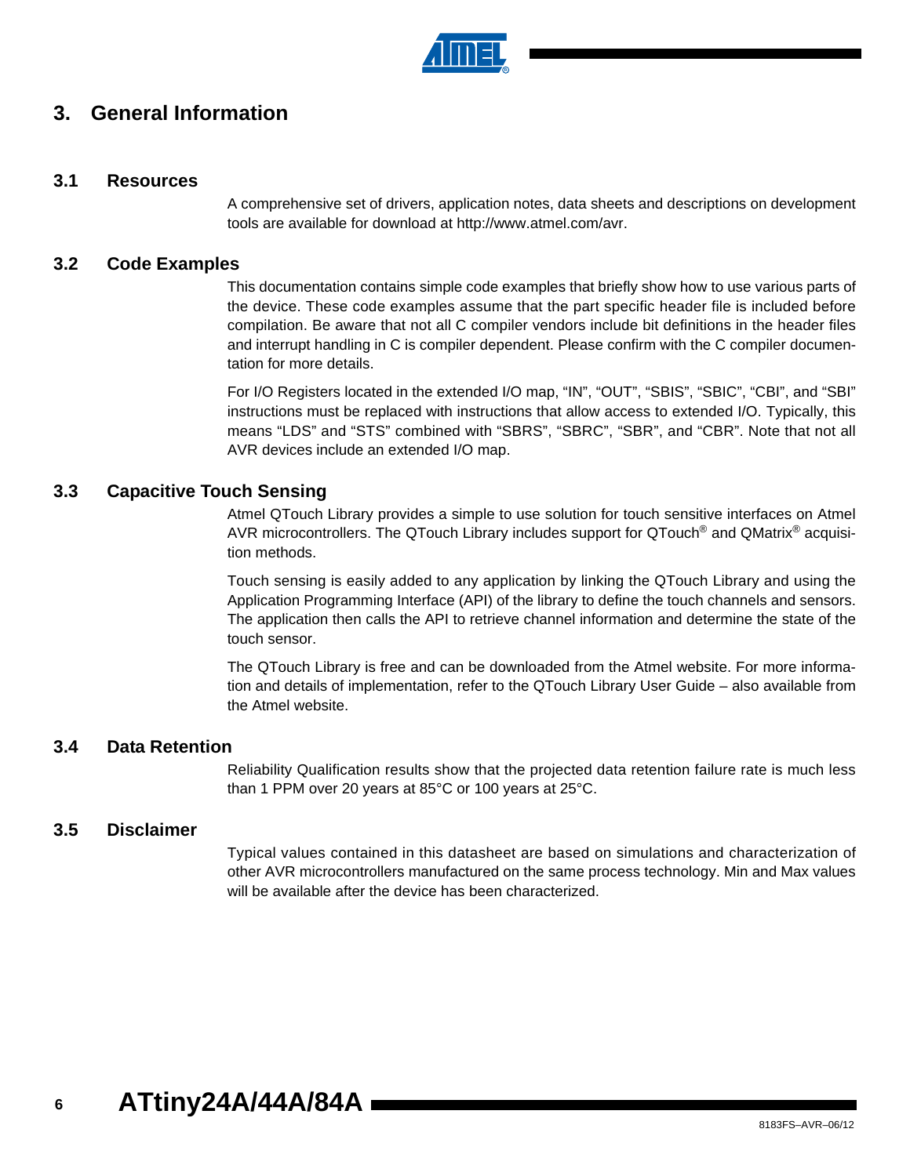

# **3. General Information**

#### **3.1 Resources**

A comprehensive set of drivers, application notes, data sheets and descriptions on development tools are available for download at http://www.atmel.com/avr.

#### **3.2 Code Examples**

This documentation contains simple code examples that briefly show how to use various parts of the device. These code examples assume that the part specific header file is included before compilation. Be aware that not all C compiler vendors include bit definitions in the header files and interrupt handling in C is compiler dependent. Please confirm with the C compiler documentation for more details.

For I/O Registers located in the extended I/O map, "IN", "OUT", "SBIS", "SBIC", "CBI", and "SBI" instructions must be replaced with instructions that allow access to extended I/O. Typically, this means "LDS" and "STS" combined with "SBRS", "SBRC", "SBR", and "CBR". Note that not all AVR devices include an extended I/O map.

#### <span id="page-5-0"></span>**3.3 Capacitive Touch Sensing**

Atmel QTouch Library provides a simple to use solution for touch sensitive interfaces on Atmel AVR microcontrollers. The QTouch Library includes support for QTouch<sup>®</sup> and QMatrix<sup>®</sup> acquisition methods.

Touch sensing is easily added to any application by linking the QTouch Library and using the Application Programming Interface (API) of the library to define the touch channels and sensors. The application then calls the API to retrieve channel information and determine the state of the touch sensor.

The QTouch Library is free and can be downloaded from the Atmel website. For more information and details of implementation, refer to the QTouch Library User Guide – also available from the Atmel website.

#### **3.4 Data Retention**

Reliability Qualification results show that the projected data retention failure rate is much less than 1 PPM over 20 years at 85°C or 100 years at 25°C.

#### **3.5 Disclaimer**

Typical values contained in this datasheet are based on simulations and characterization of other AVR microcontrollers manufactured on the same process technology. Min and Max values will be available after the device has been characterized.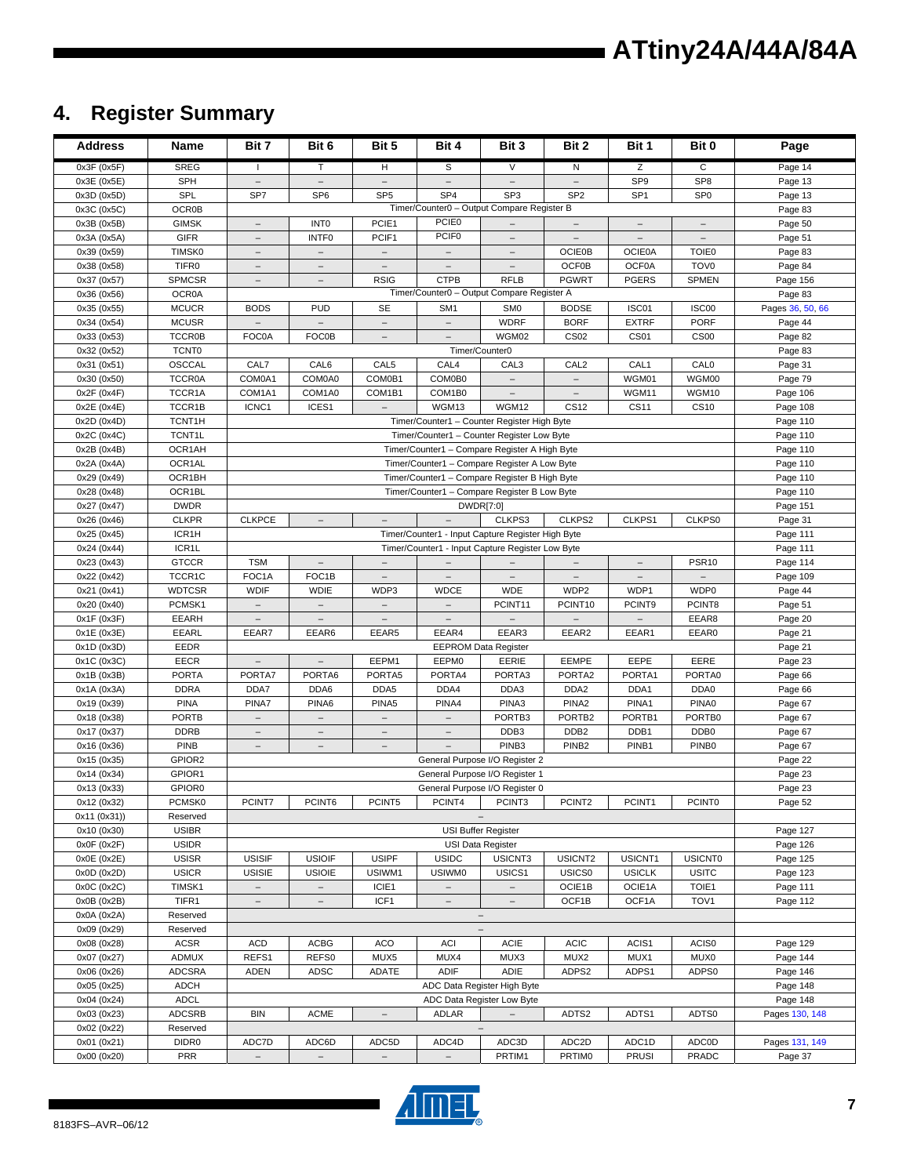# **ATtiny24A/44A/84A**

# **4. Register Summary**

| <b>Address</b>              | Name                          | Bit 7                    | Bit 6                                  | Bit 5                            | Bit 4                    | Bit 3                                             | Bit 2                                        | Bit 1                       | Bit 0                             | Page               |
|-----------------------------|-------------------------------|--------------------------|----------------------------------------|----------------------------------|--------------------------|---------------------------------------------------|----------------------------------------------|-----------------------------|-----------------------------------|--------------------|
| 0x3F (0x5F)                 | <b>SREG</b>                   | $\mathbf{I}$             | T                                      | H                                | S                        | $\vee$                                            | N                                            | Z                           | $\mathsf C$                       | Page 14            |
| 0x3E (0x5E)                 | <b>SPH</b>                    | $\overline{\phantom{0}}$ | $\overline{\phantom{a}}$               | $\overline{\phantom{a}}$         | $\overline{\phantom{a}}$ | $\overline{\phantom{m}}$                          |                                              | SP <sub>9</sub>             | SP <sub>8</sub>                   | Page 13            |
| 0x3D (0x5D)                 | SPL                           | SP7                      | SP <sub>6</sub>                        | SP <sub>5</sub>                  | SP <sub>4</sub>          | SP <sub>3</sub>                                   | SP <sub>2</sub>                              | SP <sub>1</sub>             | SP <sub>0</sub>                   | Page 13            |
| 0x3C (0x5C)                 | OCR0B                         |                          |                                        |                                  |                          | Timer/Counter0 - Output Compare Register B        |                                              |                             |                                   | Page 83            |
| 0x3B (0x5B)                 | <b>GIMSK</b>                  | $\equiv$                 | INT <sub>0</sub>                       | PCIE1                            | PCIE0                    | $\equiv$                                          | $\overbrace{\phantom{1232211}}$              | $\overline{\phantom{m}}$    | $\overline{\phantom{0}}$          | Page 50            |
| 0x3A (0x5A)                 | <b>GIFR</b>                   | $\overline{\phantom{a}}$ | INTF <sub>0</sub>                      | PCIF1                            | PCIF <sub>0</sub>        | $\overline{\phantom{m}}$                          | $\overline{\phantom{a}}$                     | $\qquad \qquad -$           | $\overline{\phantom{m}}$          | Page 51            |
| 0x39 (0x59)                 | TIMSK0                        | $\equiv$                 | $\overline{\phantom{0}}$               |                                  |                          |                                                   | <b>OCIE0B</b>                                | <b>OCIE0A</b>               | <b>TOIE0</b>                      | Page 83            |
| 0x38 (0x58)                 | TIFR <sub>0</sub>             | $\equiv$                 | $\equiv$                               |                                  |                          |                                                   | OCF0B                                        | OCF0A                       | TOV <sub>0</sub>                  | Page 84            |
| 0x37 (0x57)                 | <b>SPMCSR</b>                 | $\overline{\phantom{a}}$ | $\overline{\phantom{0}}$               | <b>RSIG</b>                      | <b>CTPB</b>              | <b>RFLB</b>                                       | <b>PGWRT</b>                                 | <b>PGERS</b>                | <b>SPMEN</b>                      | Page 156           |
| 0x36 (0x56)                 | <b>OCR0A</b>                  |                          |                                        |                                  |                          | Timer/Counter0 - Output Compare Register A        |                                              |                             |                                   | Page 83            |
| 0x35 (0x55)                 | <b>MCUCR</b>                  | <b>BODS</b>              | <b>PUD</b><br>$\overline{\phantom{0}}$ | SE                               | SM <sub>1</sub>          | SM <sub>0</sub>                                   | <b>BODSE</b>                                 | ISC01                       | ISC00<br><b>PORF</b>              | Pages 36, 50, 66   |
| 0x34 (0x54)<br>0x33 (0x53)  | <b>MCUSR</b><br><b>TCCR0B</b> | FOC0A                    |                                        | $\overline{\phantom{m}}$         |                          | <b>WDRF</b><br>WGM02                              | <b>BORF</b><br><b>CS02</b>                   | <b>EXTRF</b><br><b>CS01</b> |                                   | Page 44            |
| 0x32 (0x52)                 | <b>TCNT0</b>                  |                          | <b>FOC0B</b>                           |                                  |                          | Timer/Counter0                                    |                                              |                             | CS <sub>00</sub>                  | Page 82<br>Page 83 |
| 0x31 (0x51)                 | OSCCAL                        | CAL7                     | CAL6                                   | CAL5                             | CAL4                     | CAL <sub>3</sub>                                  | CAL <sub>2</sub>                             | CAL1                        | CALO                              | Page 31            |
| 0x30 (0x50)                 | <b>TCCR0A</b>                 | COM0A1                   | COM0A0                                 | COM0B1                           | COM0B0                   |                                                   | $\overline{\phantom{a}}$                     | WGM01                       | WGM00                             | Page 79            |
| 0x2F(0x4F)                  | TCCR1A                        | COM1A1                   | COM1A0                                 | COM1B1                           | COM1B0                   | $\overline{\phantom{m}}$                          | $\overline{\phantom{m}}$                     | WGM11                       | WGM10                             | Page 106           |
| 0x2E (0x4E)                 | TCCR1B                        | ICNC1                    | ICES1                                  |                                  | WGM13                    | WGM12                                             | <b>CS12</b>                                  | <b>CS11</b>                 | <b>CS10</b>                       | Page 108           |
| 0x2D (0x4D)                 | TCNT1H                        |                          |                                        |                                  |                          | Timer/Counter1 - Counter Register High Byte       |                                              |                             |                                   | Page 110           |
| 0x2C (0x4C)                 | TCNT1L                        |                          |                                        |                                  |                          | Timer/Counter1 - Counter Register Low Byte        |                                              |                             |                                   | Page 110           |
| 0x2B (0x4B)                 | OCR1AH                        |                          |                                        |                                  |                          | Timer/Counter1 - Compare Register A High Byte     |                                              |                             |                                   | Page 110           |
| 0x2A (0x4A)                 | OCR1AL                        |                          |                                        |                                  |                          | Timer/Counter1 - Compare Register A Low Byte      |                                              |                             |                                   | Page 110           |
| 0x29 (0x49)                 | OCR1BH                        |                          |                                        |                                  |                          | Timer/Counter1 - Compare Register B High Byte     |                                              |                             |                                   | Page 110           |
| 0x28 (0x48)                 | OCR1BL                        |                          |                                        |                                  |                          | Timer/Counter1 - Compare Register B Low Byte      |                                              |                             |                                   | Page 110           |
| 0x27 (0x47)                 | <b>DWDR</b>                   |                          |                                        |                                  |                          | DWDR[7:0]                                         |                                              |                             |                                   | Page 151           |
| 0x26 (0x46)                 | <b>CLKPR</b>                  | <b>CLKPCE</b>            | $\overline{\phantom{a}}$               | $\overline{\phantom{m}}$         |                          | CLKPS3                                            | CLKPS2                                       | CLKPS1                      | CLKPS0                            | Page 31            |
| 0x25 (0x45)                 | ICR1H                         |                          |                                        |                                  |                          | Timer/Counter1 - Input Capture Register High Byte |                                              |                             |                                   | Page 111           |
| 0x24 (0x44)                 | ICR1L                         |                          |                                        |                                  |                          | Timer/Counter1 - Input Capture Register Low Byte  |                                              |                             |                                   | Page 111           |
| 0x23 (0x43)                 | <b>GTCCR</b>                  | <b>TSM</b>               | $\overline{\phantom{a}}$               | $\overline{\phantom{a}}$         |                          |                                                   |                                              |                             | <b>PSR10</b><br>$\qquad \qquad -$ | Page 114           |
| 0x22 (0x42)                 | TCCR1C<br><b>WDTCSR</b>       | FOC1A<br><b>WDIF</b>     | FOC1B<br><b>WDIE</b>                   | $\overline{\phantom{a}}$<br>WDP3 | $\overline{\phantom{a}}$ | $\overline{\phantom{m}}$<br><b>WDE</b>            | $\overline{\phantom{a}}$<br>WDP <sub>2</sub> | $\overline{\phantom{0}}$    | WDP0                              | Page 109           |
| 0x21 (0x41)<br>0x20 (0x40)  | PCMSK1                        | $\equiv$                 |                                        |                                  | <b>WDCE</b>              | PCINT11                                           | PCINT10                                      | WDP1<br>PCINT9              | PCINT8                            | Page 44<br>Page 51 |
| 0x1F (0x3F)                 | <b>EEARH</b>                  | $\overline{\phantom{m}}$ | $\overline{\phantom{0}}$               | $\overline{\phantom{a}}$         | $\overline{\phantom{a}}$ |                                                   |                                              |                             | EEAR8                             | Page 20            |
| 0x1E (0x3E)                 | EEARL                         | EEAR7                    | EEAR6                                  | EEAR5                            | EEAR4                    | EEAR3                                             | EEAR2                                        | EEAR1                       | EEAR0                             | Page 21            |
| 0x1D (0x3D)                 | EEDR                          |                          |                                        |                                  |                          | <b>EEPROM Data Register</b>                       |                                              |                             |                                   | Page 21            |
| 0x1C (0x3C)                 | EECR                          | $\qquad \qquad -$        | $\overline{\phantom{a}}$               | EEPM1                            | EEPM0                    | EERIE                                             | EEMPE                                        | EEPE                        | EERE                              | Page 23            |
| 0x1B (0x3B)                 | <b>PORTA</b>                  | PORTA7                   | PORTA6                                 | PORTA5                           | PORTA4                   | PORTA3                                            | PORTA2                                       | PORTA1                      | PORTA0                            | Page 66            |
| 0x1A (0x3A)                 | <b>DDRA</b>                   | DDA7                     | DDA6                                   | DDA5                             | DDA4                     | DDA3                                              | DDA <sub>2</sub>                             | DDA1                        | DDA0                              | Page 66            |
| 0x19 (0x39)                 | <b>PINA</b>                   | PINA7                    | PINA6                                  | PINA5                            | PINA4                    | PINA3                                             | PINA <sub>2</sub>                            | PINA1                       | PINA0                             | Page 67            |
| 0x18 (0x38)                 | <b>PORTB</b>                  | $\overline{\phantom{a}}$ | $\overline{\phantom{a}}$               | $\overline{\phantom{m}}$         |                          | PORTB3                                            | PORTB <sub>2</sub>                           | PORTB1                      | PORTB0                            | Page 67            |
| 0x17 (0x37)                 | <b>DDRB</b>                   | $\overline{\phantom{a}}$ | -                                      | $\overline{\phantom{m}}$         |                          | DDB3                                              | DDB <sub>2</sub>                             | DDB1                        | DDB <sub>0</sub>                  | Page 67            |
| 0x16 (0x36)                 | <b>PINB</b>                   | $\overline{\phantom{a}}$ | $\overline{\phantom{a}}$               | $\overline{\phantom{a}}$         |                          | PINB <sub>3</sub>                                 | PINB <sub>2</sub>                            | PINB1                       | PINB <sub>0</sub>                 | Page 67            |
| 0x15 (0x35)                 | GPIOR2                        |                          |                                        |                                  |                          | General Purpose I/O Register 2                    |                                              |                             |                                   | Page 22            |
| 0x14 (0x34)                 | GPIOR1                        |                          |                                        |                                  |                          | General Purpose I/O Register 1                    |                                              |                             |                                   | Page 23            |
| 0x13 (0x33)                 | GPIOR0                        |                          |                                        |                                  |                          | General Purpose I/O Register 0                    |                                              |                             |                                   | Page 23            |
| 0x12 (0x32)<br>0x11 (0x31)) | PCMSK0<br>Reserved            | PCINT7                   | PCINT6                                 | PCINT5                           | PCINT4                   | PCINT3<br>$\overline{\phantom{a}}$                | PCINT2                                       | PCINT1                      | PCINT0                            | Page 52            |
| 0x10 (0x30)                 | <b>USIBR</b>                  |                          |                                        |                                  |                          | <b>USI Buffer Register</b>                        |                                              |                             |                                   | Page 127           |
| 0x0F(0x2F)                  | <b>USIDR</b>                  |                          |                                        |                                  |                          | USI Data Register                                 |                                              |                             |                                   | Page 126           |
| 0x0E(0x2E)                  | <b>USISR</b>                  | <b>USISIF</b>            | <b>USIOIF</b>                          | <b>USIPF</b>                     | <b>USIDC</b>             | USICNT3                                           | USICNT2                                      | USICNT1                     | <b>USICNT0</b>                    | Page 125           |
| 0x0D (0x2D)                 | <b>USICR</b>                  | <b>USISIE</b>            | <b>USIOIE</b>                          | USIWM1                           | <b>USIWM0</b>            | USICS1                                            | USICS0                                       | <b>USICLK</b>               | <b>USITC</b>                      | Page 123           |
| 0x0C (0x2C)                 | TIMSK1                        | $\overline{\phantom{a}}$ | $\qquad \qquad -$                      | ICIE1                            | $\overline{\phantom{a}}$ | $\qquad \qquad -$                                 | OCIE1B                                       | OCIE1A                      | TOIE1                             | Page 111           |
| 0x0B(0x2B)                  | TIFR1                         | $\overline{\phantom{m}}$ | $\overline{\phantom{a}}$               | ICF1                             | $\overline{\phantom{m}}$ | $\overline{\phantom{m}}$                          | OCF1B                                        | OCF1A                       | TOV <sub>1</sub>                  | Page 112           |
| 0x0A (0x2A)                 | Reserved                      |                          |                                        |                                  |                          |                                                   |                                              |                             |                                   |                    |
| 0x09 (0x29)                 | Reserved                      |                          |                                        |                                  |                          |                                                   |                                              |                             |                                   |                    |
| 0x08 (0x28)                 | <b>ACSR</b>                   | <b>ACD</b>               | <b>ACBG</b>                            | <b>ACO</b>                       | ACI                      | <b>ACIE</b>                                       | <b>ACIC</b>                                  | ACIS1                       | ACIS0                             | Page 129           |
| 0x07 (0x27)                 | ADMUX                         | REFS1                    | REFS0                                  | MUX5                             | MUX4                     | MUX3                                              | MUX2                                         | MUX1                        | MUX0                              | Page 144           |
| 0x06 (0x26)                 | <b>ADCSRA</b>                 | <b>ADEN</b>              | ADSC                                   | ADATE                            | <b>ADIF</b>              | ADIE                                              | ADPS2                                        | ADPS1                       | ADPS0                             | Page 146           |
| 0x05 (0x25)                 | <b>ADCH</b>                   |                          |                                        |                                  |                          | ADC Data Register High Byte                       |                                              |                             |                                   | Page 148           |
| 0x04 (0x24)                 | <b>ADCL</b>                   |                          |                                        |                                  |                          | ADC Data Register Low Byte                        |                                              |                             |                                   | Page 148           |
| 0x03 (0x23)                 | <b>ADCSRB</b>                 | <b>BIN</b>               | <b>ACME</b>                            |                                  | ADLAR                    |                                                   | ADTS2                                        | ADTS1                       | ADTS0                             | Pages 130, 148     |
| 0x02 (0x22)                 | Reserved                      |                          |                                        |                                  |                          |                                                   |                                              |                             |                                   |                    |
| 0x01 (0x21)                 | DIDR0                         | ADC7D                    | ADC6D                                  | ADC5D                            | ADC4D                    | ADC3D                                             | ADC <sub>2</sub> D                           | ADC1D                       | ADC0D                             | Pages 131, 149     |
| 0x00 (0x20)                 | <b>PRR</b>                    | $\overline{\phantom{a}}$ | $\overline{\phantom{a}}$               | $\overline{\phantom{a}}$         | $\overline{\phantom{a}}$ | PRTIM1                                            | PRTIM0                                       | <b>PRUSI</b>                | PRADC                             | Page 37            |

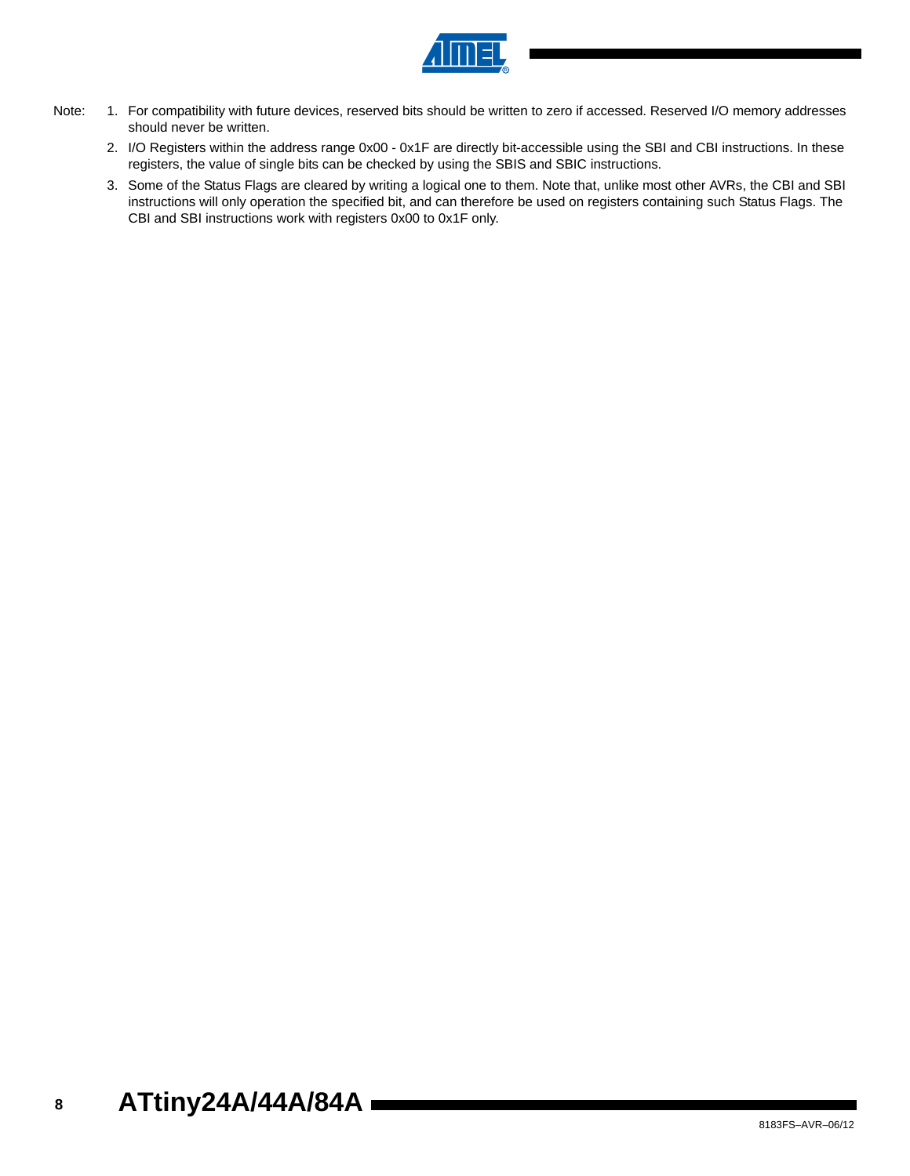

- Note: 1. For compatibility with future devices, reserved bits should be written to zero if accessed. Reserved I/O memory addresses should never be written.
	- 2. I/O Registers within the address range 0x00 0x1F are directly bit-accessible using the SBI and CBI instructions. In these registers, the value of single bits can be checked by using the SBIS and SBIC instructions.
	- 3. Some of the Status Flags are cleared by writing a logical one to them. Note that, unlike most other AVRs, the CBI and SBI instructions will only operation the specified bit, and can therefore be used on registers containing such Status Flags. The CBI and SBI instructions work with registers 0x00 to 0x1F only.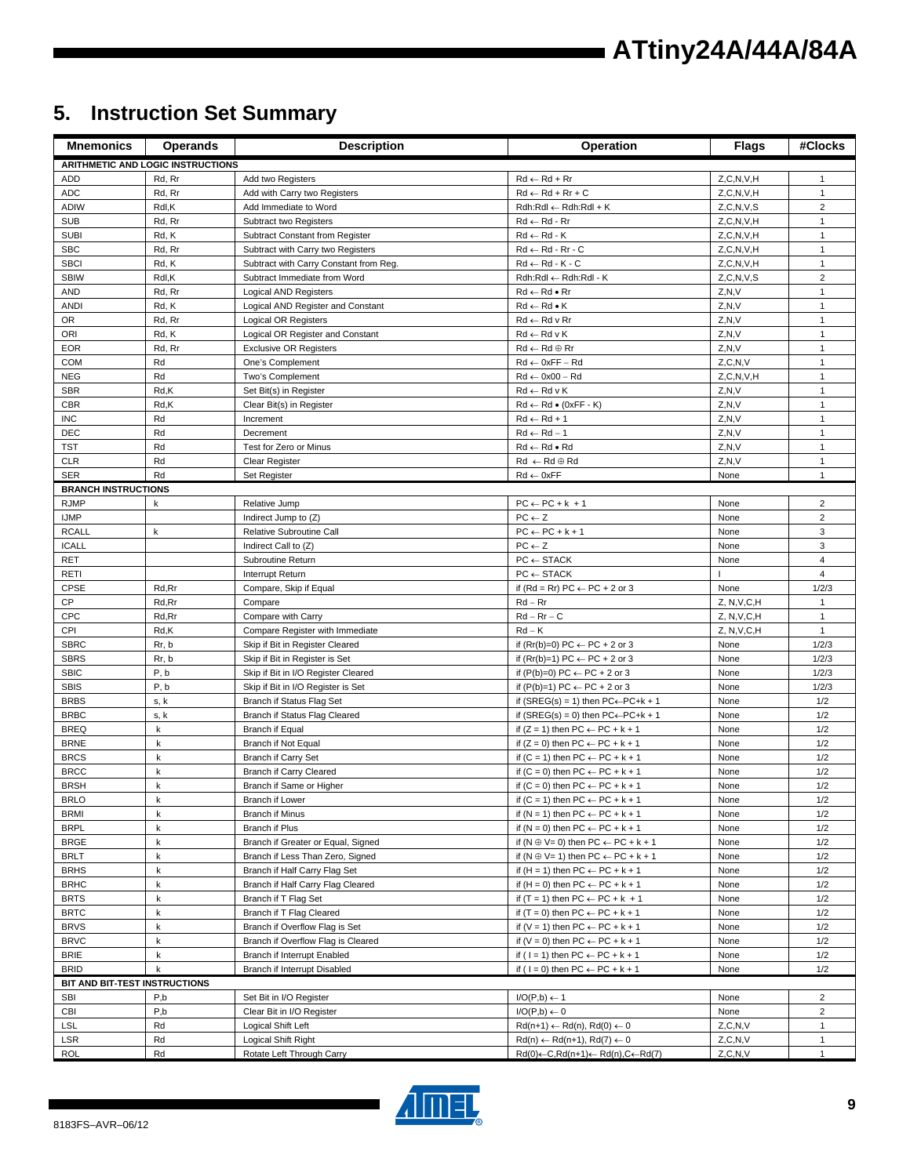# **ATtiny24A/44A/84A**

# **5. Instruction Set Summary**

| <b>Mnemonics</b>              | <b>Operands</b>                   | <b>Description</b>                                         | Operation                                                                                            | <b>Flags</b>             | #Clocks                      |
|-------------------------------|-----------------------------------|------------------------------------------------------------|------------------------------------------------------------------------------------------------------|--------------------------|------------------------------|
|                               | ARITHMETIC AND LOGIC INSTRUCTIONS |                                                            |                                                                                                      |                          |                              |
| <b>ADD</b>                    | Rd, Rr                            | Add two Registers                                          | $Rd \leftarrow Rd + Rr$                                                                              | Z, C, N, V, H            | 1                            |
| <b>ADC</b>                    | Rd, Rr                            | Add with Carry two Registers                               | $Rd \leftarrow Rd + Rr + C$                                                                          | Z, C, N, V, H            | $\mathbf{1}$                 |
| <b>ADIW</b>                   | Rdl,K                             | Add Immediate to Word                                      | $Rdh:Rdl \leftarrow Rdh:Rdl + K$                                                                     | Z, C, N, V, S            | $\overline{2}$               |
| <b>SUB</b>                    | Rd, Rr                            | Subtract two Registers                                     | $Rd \leftarrow Rd - Rr$                                                                              | Z, C, N, V, H            | $\mathbf{1}$                 |
| <b>SUBI</b>                   | Rd, K                             | Subtract Constant from Register                            | $Rd \leftarrow Rd - K$                                                                               | Z, C, N, V, H            | $\mathbf{1}$                 |
| <b>SBC</b>                    | Rd, Rr                            | Subtract with Carry two Registers                          | $Rd \leftarrow Rd - Rr - C$                                                                          | Z, C, N, V, H            | 1                            |
| <b>SBCI</b>                   | Rd, K                             | Subtract with Carry Constant from Reg.                     | $Rd \leftarrow Rd - K - C$                                                                           | Z, C, N, V, H            | $\mathbf{1}$                 |
| <b>SBIW</b>                   | Rdl,K                             | Subtract Immediate from Word                               | Rdh:Rdl ← Rdh:Rdl - K                                                                                | Z, C, N, V, S            | $\overline{2}$               |
| <b>AND</b>                    | Rd, Rr                            | <b>Logical AND Registers</b>                               | $Rd \leftarrow Rd \bullet Rr$                                                                        | Z, N, V                  | $\mathbf{1}$                 |
| <b>ANDI</b>                   | Rd, K                             | Logical AND Register and Constant                          | $Rd \leftarrow Rd \bullet K$                                                                         | Z, N, V                  | $\mathbf{1}$                 |
| <b>OR</b>                     | Rd, Rr                            | Logical OR Registers                                       | $Rd \leftarrow Rd$ v Rr                                                                              | Z, N, V                  | $\mathbf{1}$                 |
| ORI                           | Rd, K                             | Logical OR Register and Constant                           | $Rd \leftarrow Rd \vee K$                                                                            | Z, N, V                  | $\mathbf{1}$                 |
| <b>EOR</b>                    | Rd, Rr                            | <b>Exclusive OR Registers</b>                              | $Rd \leftarrow Rd \oplus Rr$                                                                         | Z, N, V                  | $\mathbf{1}$                 |
| <b>COM</b>                    | Rd                                | One's Complement                                           | $Rd \leftarrow 0xFF - Rd$                                                                            | Z, C, N, V               | $\mathbf{1}$                 |
| <b>NEG</b><br><b>SBR</b>      | Rd<br>Rd,K                        | Two's Complement                                           | $Rd \leftarrow 0x00 - Rd$<br>$Rd \leftarrow Rd \vee K$                                               | Z, C, N, V, H<br>Z.N.V   | $\mathbf{1}$<br>$\mathbf{1}$ |
| <b>CBR</b>                    | Rd,K                              | Set Bit(s) in Register<br>Clear Bit(s) in Register         | $Rd \leftarrow Rd \bullet (0xFF - K)$                                                                | Z, N, V                  | $\mathbf{1}$                 |
| <b>INC</b>                    | Rd                                | Increment                                                  | $Rd \leftarrow Rd + 1$                                                                               | Z, N, V                  | 1                            |
| <b>DEC</b>                    | Rd                                | Decrement                                                  | $Rd \leftarrow Rd - 1$                                                                               | Z, N, V                  | $\mathbf{1}$                 |
| TST                           | Rd                                | Test for Zero or Minus                                     | $Rd \leftarrow Rd \bullet Rd$                                                                        | Z, N, V                  | $\mathbf{1}$                 |
| <b>CLR</b>                    | Rd                                | <b>Clear Register</b>                                      | $Rd \leftarrow Rd \oplus Rd$                                                                         | Z.N.V                    | $\mathbf{1}$                 |
| <b>SER</b>                    | Rd                                | Set Register                                               | $Rd \leftarrow 0xFF$                                                                                 | None                     | 1                            |
| <b>BRANCH INSTRUCTIONS</b>    |                                   |                                                            |                                                                                                      |                          |                              |
| <b>RJMP</b>                   | k                                 | Relative Jump                                              | $PC \leftarrow PC + k + 1$                                                                           | None                     | $\overline{2}$               |
| <b>IJMP</b>                   |                                   | Indirect Jump to (Z)                                       | $PC \leftarrow Z$                                                                                    | None                     | $\overline{2}$               |
| <b>RCALL</b>                  | $\sf k$                           | Relative Subroutine Call                                   | $PC \leftarrow PC + k + 1$                                                                           | None                     | 3                            |
| <b>ICALL</b>                  |                                   | Indirect Call to (Z)                                       | $PC \leftarrow Z$                                                                                    | None                     | 3                            |
| <b>RET</b>                    |                                   | Subroutine Return                                          | $PC \leftarrow$ STACK                                                                                | None                     | $\overline{4}$               |
| RETI                          |                                   | Interrupt Return                                           | $PC \leftarrow$ STACK                                                                                |                          | $\overline{4}$               |
| <b>CPSE</b>                   | Rd,Rr                             | Compare, Skip if Equal                                     | if (Rd = Rr) PC $\leftarrow$ PC + 2 or 3                                                             | None                     | 1/2/3                        |
| CP                            | Rd, Rr                            | Compare                                                    | $Rd - Rr$                                                                                            | Z, N, V, C, H            | $\mathbf{1}$                 |
| <b>CPC</b>                    | Rd, Rr                            | Compare with Carry                                         | $Rd - Rr - C$                                                                                        | Z, N, V, C, H            | $\mathbf{1}$                 |
| CPI                           | Rd,K                              | Compare Register with Immediate                            | $Rd - K$                                                                                             | Z, N, V, C, H            | $\mathbf{1}$                 |
| <b>SBRC</b>                   | Rr, b                             | Skip if Bit in Register Cleared                            | if $(Rr(b)=0) PC \leftarrow PC + 2$ or 3                                                             | None                     | 1/2/3                        |
| <b>SBRS</b>                   | Rr, b                             | Skip if Bit in Register is Set                             | if $(Rr(b)=1) PC \leftarrow PC + 2$ or 3                                                             | None                     | 1/2/3                        |
| <b>SBIC</b>                   | P, b                              | Skip if Bit in I/O Register Cleared                        | if $(P(b)=0) PC \leftarrow PC + 2$ or 3                                                              | None                     | 1/2/3                        |
| <b>SBIS</b>                   | P, b                              | Skip if Bit in I/O Register is Set                         | if $(P(b)=1) PC \leftarrow PC + 2$ or 3                                                              | None                     | 1/2/3<br>1/2                 |
| <b>BRBS</b><br><b>BRBC</b>    | s, k                              | Branch if Status Flag Set<br>Branch if Status Flag Cleared | if (SREG(s) = 1) then $PC \leftarrow PC + k + 1$<br>if (SREG(s) = 0) then $PC \leftarrow PC + k + 1$ | None<br>None             | 1/2                          |
| <b>BREQ</b>                   | s, k<br>k                         | <b>Branch if Equal</b>                                     | if $(Z = 1)$ then PC $\leftarrow$ PC + k + 1                                                         | None                     | 1/2                          |
| <b>BRNE</b>                   | k                                 | Branch if Not Equal                                        | if $(Z = 0)$ then PC $\leftarrow$ PC + k + 1                                                         | None                     | 1/2                          |
| <b>BRCS</b>                   | k                                 | Branch if Carry Set                                        | if $(C = 1)$ then $PC \leftarrow PC + k + 1$                                                         | None                     | 1/2                          |
| <b>BRCC</b>                   | k                                 | <b>Branch if Carry Cleared</b>                             | if $(C = 0)$ then $PC \leftarrow PC + k + 1$                                                         | None                     | 1/2                          |
| <b>BRSH</b>                   | k                                 | Branch if Same or Higher                                   | if $(C = 0)$ then $PC \leftarrow PC + k + 1$                                                         | None                     | 1/2                          |
| <b>BRLO</b>                   | k                                 | Branch if Lower                                            | if $(C = 1)$ then $PC \leftarrow PC + k + 1$                                                         | None                     | 1/2                          |
| <b>BRMI</b>                   | k                                 | Branch if Minus                                            | if $(N = 1)$ then $PC \leftarrow PC + k + 1$                                                         | None                     | 1/2                          |
| <b>BRPL</b>                   | k                                 | Branch if Plus                                             | if $(N = 0)$ then $PC \leftarrow PC + k + 1$                                                         | None                     | 1/2                          |
| <b>BRGE</b>                   | k                                 | Branch if Greater or Equal, Signed                         | if $(N \oplus V = 0)$ then $PC \leftarrow PC + k + 1$                                                | None                     | 1/2                          |
| <b>BRLT</b>                   | k                                 | Branch if Less Than Zero, Signed                           | if $(N \oplus V = 1)$ then $PC \leftarrow PC + k + 1$                                                | None                     | 1/2                          |
| <b>BRHS</b>                   | k                                 | Branch if Half Carry Flag Set                              | if $(H = 1)$ then PC $\leftarrow$ PC + k + 1                                                         | None                     | 1/2                          |
| <b>BRHC</b>                   | k                                 | Branch if Half Carry Flag Cleared                          | if $(H = 0)$ then $PC \leftarrow PC + k + 1$                                                         | None                     | 1/2                          |
| <b>BRTS</b>                   | k                                 | Branch if T Flag Set                                       | if $(T = 1)$ then PC $\leftarrow$ PC + k + 1                                                         | None                     | 1/2                          |
| <b>BRTC</b>                   | k                                 | Branch if T Flag Cleared                                   | if $(T = 0)$ then $PC \leftarrow PC + k + 1$                                                         | None                     | 1/2                          |
| <b>BRVS</b>                   | k                                 | Branch if Overflow Flag is Set                             | if $(V = 1)$ then $PC \leftarrow PC + k + 1$                                                         | None                     | 1/2                          |
| <b>BRVC</b>                   | k                                 | Branch if Overflow Flag is Cleared                         | if $(V = 0)$ then $PC \leftarrow PC + k + 1$                                                         | None                     | 1/2                          |
| <b>BRIE</b>                   | k                                 | Branch if Interrupt Enabled                                | if ( $1 = 1$ ) then $PC \leftarrow PC + k + 1$                                                       | None                     | 1/2                          |
| <b>BRID</b>                   | k                                 | Branch if Interrupt Disabled                               | if ( $1 = 0$ ) then PC $\leftarrow$ PC + k + 1                                                       | None                     | 1/2                          |
| BIT AND BIT-TEST INSTRUCTIONS |                                   |                                                            |                                                                                                      |                          |                              |
| <b>SBI</b>                    | P,b                               | Set Bit in I/O Register                                    | $I/O(P,b) \leftarrow 1$                                                                              | None                     | $\overline{2}$               |
| CBI                           | P,b<br>Rd                         | Clear Bit in I/O Register                                  | $I/O(P,b) \leftarrow 0$                                                                              | None                     | $\overline{2}$               |
| <b>LSL</b><br>LSR             | Rd                                | Logical Shift Left<br>Logical Shift Right                  | $Rd(n+1) \leftarrow Rd(n), Rd(0) \leftarrow 0$<br>$Rd(n) \leftarrow Rd(n+1), Rd(7) \leftarrow 0$     | Z, C, N, V<br>Z, C, N, V | 1<br>$\mathbf{1}$            |
| <b>ROL</b>                    | Rd                                | Rotate Left Through Carry                                  | $Rd(0) \leftarrow C, Rd(n+1) \leftarrow Rd(n), C \leftarrow Rd(7)$                                   | Z, C, N, V               | 1                            |

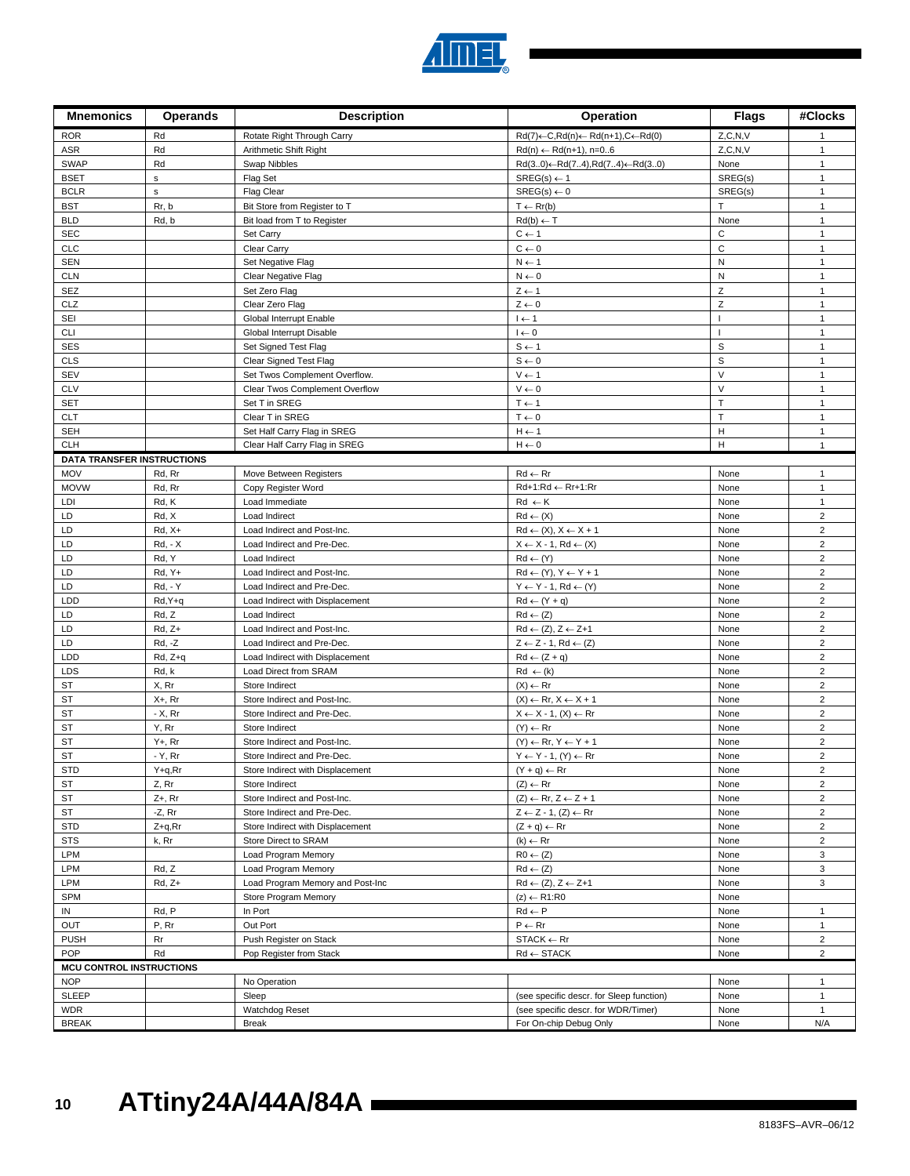

| <b>Mnemonics</b>                  | <b>Operands</b>            | <b>Description</b>                                              | Operation                                                          | <b>Flags</b>           | #Clocks                                   |
|-----------------------------------|----------------------------|-----------------------------------------------------------------|--------------------------------------------------------------------|------------------------|-------------------------------------------|
| <b>ROR</b>                        | Rd                         | Rotate Right Through Carry                                      | $Rd(7) \leftarrow C, Rd(n) \leftarrow Rd(n+1), C \leftarrow Rd(0)$ | Z, C, N, V             | 1                                         |
| ASR                               | Rd                         | Arithmetic Shift Right                                          | $Rd(n) \leftarrow Rd(n+1), n=06$                                   | Z, C, N, V             | $\mathbf{1}$                              |
| <b>SWAP</b>                       | Rd                         | Swap Nibbles                                                    | $Rd(30) \leftarrow Rd(74), Rd(74) \leftarrow Rd(30)$               | None                   | $\mathbf{1}$                              |
| <b>BSET</b>                       | $\sf s$                    | Flag Set                                                        | $SREG(s) \leftarrow 1$                                             | SREG(s)                | $\mathbf{1}$                              |
| <b>BCLR</b>                       | $\mathsf{s}$               | <b>Flag Clear</b>                                               | $SREG(s) \leftarrow 0$                                             | SREG(s)                | $\mathbf{1}$                              |
| <b>BST</b>                        | Rr, b                      | Bit Store from Register to T                                    | $T \leftarrow Rr(b)$                                               | T                      | 1                                         |
| <b>BLD</b>                        | Rd, b                      | Bit load from T to Register                                     | $Rd(b) \leftarrow T$                                               | None                   | $\mathbf{1}$                              |
| <b>SEC</b>                        |                            | Set Carry                                                       | $C \leftarrow 1$                                                   | $\mathsf{C}$           | $\mathbf{1}$                              |
| <b>CLC</b>                        |                            | Clear Carry                                                     | $C \leftarrow 0$                                                   | $\mathsf{C}$           | $\mathbf{1}$                              |
| <b>SEN</b>                        |                            | Set Negative Flag                                               | $N \leftarrow 1$                                                   | ${\sf N}$<br>${\sf N}$ | $\mathbf{1}$                              |
| <b>CLN</b><br><b>SEZ</b>          |                            | Clear Negative Flag<br>Set Zero Flag                            | $N \leftarrow 0$<br>$Z \leftarrow 1$                               | Z                      | $\mathbf{1}$<br>$\mathbf{1}$              |
| CLZ                               |                            | Clear Zero Flag                                                 | $Z \leftarrow 0$                                                   | Z                      | 1                                         |
| SEI                               |                            | Global Interrupt Enable                                         | $I \leftarrow 1$                                                   |                        | $\mathbf{1}$                              |
| <b>CLI</b>                        |                            | Global Interrupt Disable                                        | $I \leftarrow 0$                                                   |                        | 1                                         |
| <b>SES</b>                        |                            | Set Signed Test Flag                                            | $S \leftarrow 1$                                                   | S                      | $\mathbf{1}$                              |
| <b>CLS</b>                        |                            | Clear Signed Test Flag                                          | $\texttt{S} \gets \texttt{0}$                                      | $\mathbb S$            | $\mathbf{1}$                              |
| <b>SEV</b>                        |                            | Set Twos Complement Overflow.                                   | $V \leftarrow 1$                                                   | $\vee$                 | 1                                         |
| <b>CLV</b>                        |                            | Clear Twos Complement Overflow                                  | $V \leftarrow 0$                                                   | $\vee$                 | $\mathbf{1}$                              |
| <b>SET</b>                        |                            | Set T in SREG                                                   | $T \leftarrow 1$                                                   | $\top$                 | $\mathbf{1}$                              |
| <b>CLT</b>                        |                            | Clear T in SREG                                                 | $T \leftarrow 0$                                                   | T                      | $\mathbf{1}$                              |
| <b>SEH</b>                        |                            | Set Half Carry Flag in SREG                                     | $H \leftarrow 1$                                                   | Н                      | $\mathbf{1}$                              |
| <b>CLH</b>                        |                            | Clear Half Carry Flag in SREG                                   | $H \leftarrow 0$                                                   | Н                      | $\mathbf{1}$                              |
| <b>DATA TRANSFER INSTRUCTIONS</b> |                            |                                                                 |                                                                    |                        |                                           |
| MOV                               | Rd, Rr                     | Move Between Registers                                          | $Rd \leftarrow Rr$                                                 | None                   | 1                                         |
| <b>MOVW</b>                       | Rd, Rr                     | Copy Register Word                                              | Rd+1:Rd ← Rr+1:Rr                                                  | None                   | $\mathbf{1}$                              |
| LDI                               | Rd, K                      | Load Immediate                                                  | $Rd \leftarrow K$                                                  | None                   | 1                                         |
| LD                                | Rd, X                      | Load Indirect                                                   | $Rd \leftarrow (X)$                                                | None                   | $\overline{2}$                            |
| LD<br>LD                          | $Rd, X+$<br><b>Rd, - X</b> | Load Indirect and Post-Inc.                                     | $Rd \leftarrow (X), X \leftarrow X + 1$                            | None                   | $\overline{\mathbf{c}}$<br>$\overline{2}$ |
| LD                                | Rd, Y                      | Load Indirect and Pre-Dec.<br>Load Indirect                     | $X \leftarrow X - 1$ , Rd $\leftarrow (X)$<br>$Rd \leftarrow (Y)$  | None<br>None           | $\overline{2}$                            |
| LD                                | Rd, Y+                     | Load Indirect and Post-Inc.                                     | $Rd \leftarrow (Y), Y \leftarrow Y + 1$                            | None                   | $\overline{2}$                            |
| LD                                | <b>Rd. - Y</b>             | Load Indirect and Pre-Dec.                                      | $Y \leftarrow Y - 1$ , Rd $\leftarrow (Y)$                         | None                   | $\overline{2}$                            |
| LDD                               | Rd, Y+q                    | Load Indirect with Displacement                                 | $Rd \leftarrow (Y + q)$                                            | None                   | $\overline{2}$                            |
| LD                                | Rd, Z                      | Load Indirect                                                   | $Rd \leftarrow (Z)$                                                | None                   | $\overline{\mathbf{c}}$                   |
| LD                                | $Rd, Z+$                   | Load Indirect and Post-Inc.                                     | $Rd \leftarrow (Z), Z \leftarrow Z+1$                              | None                   | $\overline{2}$                            |
| LD                                | Rd, -Z                     | Load Indirect and Pre-Dec.                                      | $Z \leftarrow Z - 1$ , Rd $\leftarrow (Z)$                         | None                   | $\overline{2}$                            |
| LDD                               | Rd, Z+q                    | Load Indirect with Displacement                                 | $Rd \leftarrow (Z + q)$                                            | None                   | $\overline{2}$                            |
| LDS                               | Rd, k                      | Load Direct from SRAM                                           | $Rd \leftarrow (k)$                                                | None                   | $\overline{2}$                            |
| <b>ST</b>                         | X, Rr                      | Store Indirect                                                  | $(X) \leftarrow Rr$                                                | None                   | $\overline{2}$                            |
| ST                                | $X + Rr$                   | Store Indirect and Post-Inc.                                    | $(X) \leftarrow \mathsf{Rr}, X \leftarrow X + 1$                   | None                   | $\overline{2}$                            |
| ST                                | - X, Rr                    | Store Indirect and Pre-Dec.                                     | $X \leftarrow X - 1$ , $(X) \leftarrow Rr$                         | None                   | $\overline{2}$                            |
| <b>ST</b>                         | Y, Rr                      | Store Indirect                                                  | $(Y) \leftarrow Rr$                                                | None                   | $\overline{2}$                            |
| <b>ST</b>                         | Y+, Rr                     | Store Indirect and Post-Inc.                                    | $(Y) \leftarrow \mathsf{R}r, Y \leftarrow Y + 1$                   | None                   | $\overline{2}$                            |
| ST<br><b>STD</b>                  | - Y, Rr                    | Store Indirect and Pre-Dec.<br>Store Indirect with Displacement | $Y \leftarrow Y - 1$ , $(Y) \leftarrow Rr$                         | None<br>None           | $\overline{\mathbf{c}}$<br>$\overline{2}$ |
| ST                                | Y+q,Rr<br>Z, Rr            | Store Indirect                                                  | $(Y + q) \leftarrow Rr$<br>$(Z) \leftarrow \mathsf{Rr}$            | None                   | $\overline{2}$                            |
| ST                                | $Z+$ , Rr                  | Store Indirect and Post-Inc.                                    | $(Z) \leftarrow \mathsf{Rr}, Z \leftarrow Z + 1$                   | None                   | $\overline{2}$                            |
| ST                                | -Z, Rr                     | Store Indirect and Pre-Dec.                                     | $Z \leftarrow Z - 1$ , $(Z) \leftarrow Rr$                         | None                   | $\overline{2}$                            |
| <b>STD</b>                        | Z+q,Rr                     | Store Indirect with Displacement                                | $(Z + q) \leftarrow Rr$                                            | None                   | $\overline{2}$                            |
| <b>STS</b>                        | k, Rr                      | Store Direct to SRAM                                            | $(k) \leftarrow Rr$                                                | None                   | $\overline{2}$                            |
| LPM                               |                            | Load Program Memory                                             | $R0 \leftarrow (Z)$                                                | None                   | 3                                         |
| LPM                               | Rd, Z                      | Load Program Memory                                             | $Rd \leftarrow (Z)$                                                | None                   | 3                                         |
| LPM                               | $Rd, Z+$                   | Load Program Memory and Post-Inc                                | $Rd \leftarrow (Z), Z \leftarrow Z+1$                              | None                   | 3                                         |
| <b>SPM</b>                        |                            | Store Program Memory                                            | $(z) \leftarrow R1:R0$                                             | None                   |                                           |
| IN                                | Rd, P                      | In Port                                                         | $Rd \leftarrow P$                                                  | None                   | 1                                         |
| OUT                               | P, Rr                      | Out Port                                                        | $P \leftarrow Rr$                                                  | None                   | $\mathbf{1}$                              |
| <b>PUSH</b>                       | Rr                         | Push Register on Stack                                          | $STACK \leftarrow Rr$                                              | None                   | $\overline{2}$                            |
| POP                               | Rd                         | Pop Register from Stack                                         | $Rd \leftarrow$ STACK                                              | None                   | $\overline{2}$                            |
| <b>MCU CONTROL INSTRUCTIONS</b>   |                            |                                                                 |                                                                    |                        |                                           |
| <b>NOP</b>                        |                            | No Operation                                                    |                                                                    | None                   | 1                                         |
| <b>SLEEP</b>                      |                            | Sleep                                                           | (see specific descr. for Sleep function)                           | None                   | $\mathbf{1}$                              |
| <b>WDR</b><br><b>BREAK</b>        |                            | Watchdog Reset<br>Break                                         | (see specific descr. for WDR/Timer)<br>For On-chip Debug Only      | None<br>None           | $\mathbf{1}$<br>N/A                       |
|                                   |                            |                                                                 |                                                                    |                        |                                           |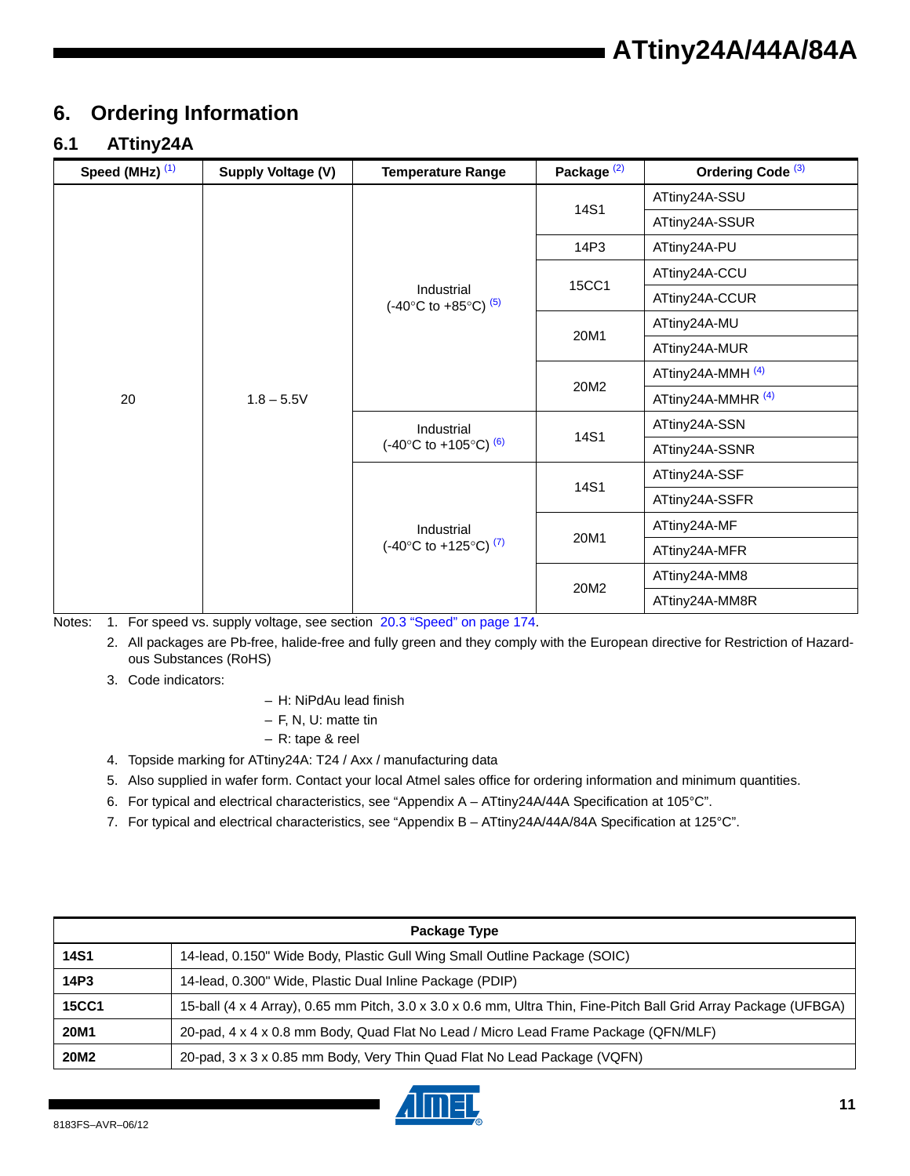# <span id="page-10-7"></span>**6. Ordering Information**

### **6.1 ATtiny24A**

| Speed (MHz) (1) | Supply Voltage (V) | <b>Temperature Range</b>                                     | Package <sup>(2)</sup> | Ordering Code <sup>(3)</sup>  |
|-----------------|--------------------|--------------------------------------------------------------|------------------------|-------------------------------|
|                 |                    |                                                              | 14S1                   | ATtiny24A-SSU                 |
|                 |                    |                                                              |                        | ATtiny24A-SSUR                |
|                 |                    |                                                              | 14P3                   | ATtiny24A-PU                  |
|                 |                    |                                                              | 15CC1                  | ATtiny24A-CCU                 |
|                 |                    | Industrial<br>$(-40^{\circ}$ C to $+85^{\circ}$ C) $^{(5)}$  |                        | ATtiny24A-CCUR                |
|                 | $1.8 - 5.5V$       |                                                              | 20M1                   | ATtiny24A-MU                  |
|                 |                    |                                                              |                        | ATtiny24A-MUR                 |
|                 |                    |                                                              | 20M2                   | ATtiny24A-MMH <sup>(4)</sup>  |
| 20              |                    |                                                              |                        | ATtiny24A-MMHR <sup>(4)</sup> |
|                 |                    | Industrial<br>$(-40^{\circ}$ C to $+105^{\circ}$ C) $^{(6)}$ | 14S1                   | ATtiny24A-SSN                 |
|                 |                    |                                                              |                        | ATtiny24A-SSNR                |
|                 |                    | Industrial<br>(-40°C to +125°C) <sup>(7)</sup>               |                        | ATtiny24A-SSF                 |
|                 |                    |                                                              | 14S1                   | ATtiny24A-SSFR                |
|                 |                    |                                                              | 20M1                   | ATtiny24A-MF                  |
|                 |                    |                                                              |                        | ATtiny24A-MFR                 |
|                 |                    |                                                              | 20M2                   | ATtiny24A-MM8                 |
|                 |                    |                                                              |                        | ATtiny24A-MM8R                |

<span id="page-10-4"></span><span id="page-10-2"></span>Notes: 1. For speed vs. supply voltage, see section 20.3 "Speed" on page 174.

2. All packages are Pb-free, halide-free and fully green and they comply with the European directive for Restriction of Hazardous Substances (RoHS)

<span id="page-10-5"></span>3. Code indicators:

- H: NiPdAu lead finish
- F, N, U: matte tin
- R: tape & reel
- <span id="page-10-3"></span>4. Topside marking for ATtiny24A: T24 / Axx / manufacturing data
- <span id="page-10-6"></span>5. Also supplied in wafer form. Contact your local Atmel sales office for ordering information and minimum quantities.
- <span id="page-10-0"></span>6. For typical and electrical characteristics, see "Appendix A – ATtiny24A/44A Specification at 105°C".
- <span id="page-10-1"></span>7. For typical and electrical characteristics, see "Appendix B – ATtiny24A/44A/84A Specification at 125°C".

| Package Type |                                                                                                                  |  |  |  |
|--------------|------------------------------------------------------------------------------------------------------------------|--|--|--|
| <b>14S1</b>  | 14-lead, 0.150" Wide Body, Plastic Gull Wing Small Outline Package (SOIC)                                        |  |  |  |
| 14P3         | 14-lead, 0.300" Wide, Plastic Dual Inline Package (PDIP)                                                         |  |  |  |
| <b>15CC1</b> | 15-ball (4 x 4 Array), 0.65 mm Pitch, 3.0 x 3.0 x 0.6 mm, Ultra Thin, Fine-Pitch Ball Grid Array Package (UFBGA) |  |  |  |
| 20M1         | 20-pad, 4 x 4 x 0.8 mm Body, Quad Flat No Lead / Micro Lead Frame Package (QFN/MLF)                              |  |  |  |
| 20M2         | 20-pad, 3 x 3 x 0.85 mm Body, Very Thin Quad Flat No Lead Package (VQFN)                                         |  |  |  |

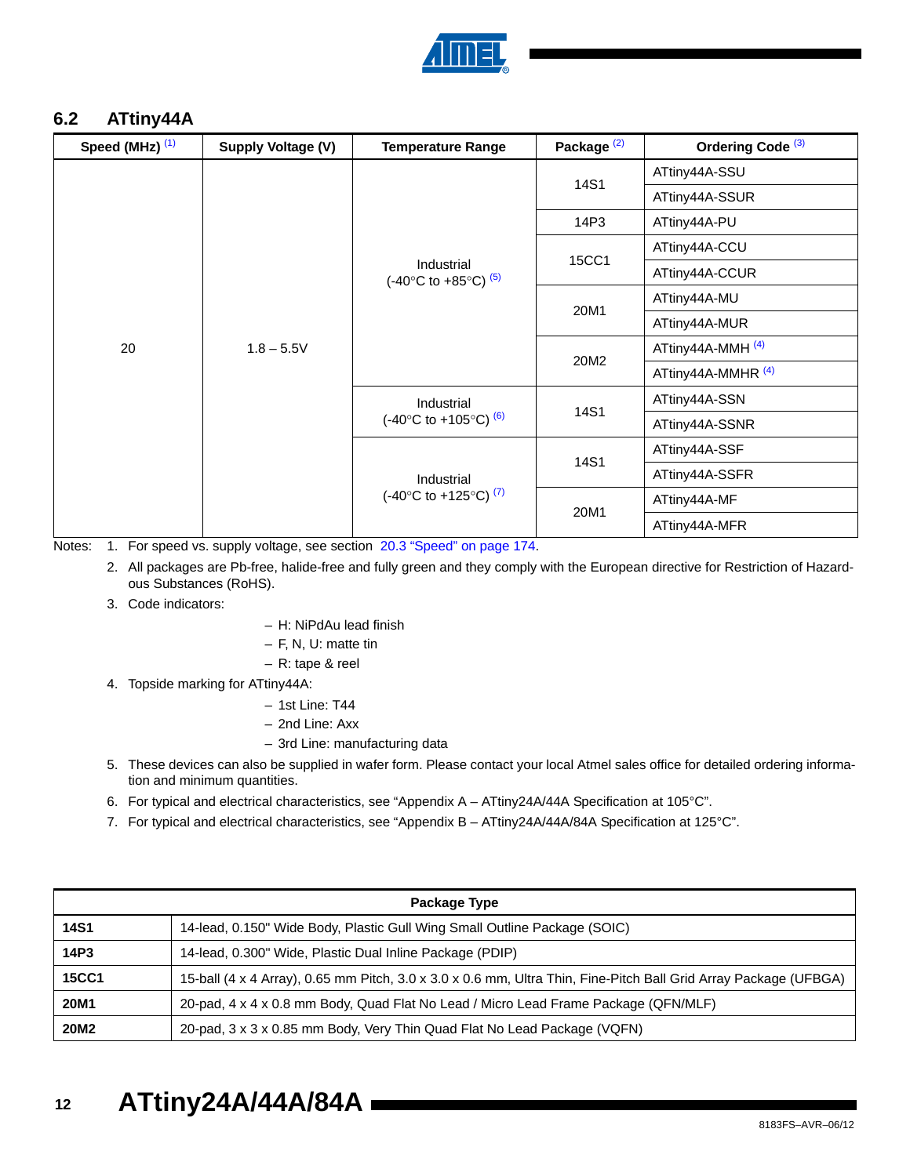

#### <span id="page-11-7"></span>**6.2 ATtiny44A**

| Speed (MHz) $(1)$ | Supply Voltage (V) | <b>Temperature Range</b>                                 | Package <sup>(2)</sup> | Ordering Code <sup>(3)</sup>  |
|-------------------|--------------------|----------------------------------------------------------|------------------------|-------------------------------|
|                   |                    |                                                          | 14S1                   | ATtiny44A-SSU                 |
|                   |                    |                                                          |                        | ATtiny44A-SSUR                |
|                   |                    |                                                          | 14P3                   | ATtiny44A-PU                  |
|                   |                    |                                                          |                        | ATtiny44A-CCU                 |
|                   | $1.8 - 5.5V$       | Industrial<br>(-40°C to +85°C) $(5)$                     | 15CC1                  | ATtiny44A-CCUR                |
|                   |                    |                                                          | 20M1                   | ATtiny44A-MU                  |
|                   |                    |                                                          |                        | ATtiny44A-MUR                 |
| 20                |                    |                                                          | 20M2                   | ATtiny44A-MMH <sup>(4)</sup>  |
|                   |                    |                                                          |                        | ATtiny44A-MMHR <sup>(4)</sup> |
|                   |                    | Industrial<br>$(-40^{\circ}$ C to +105°C) <sup>(6)</sup> | 14S1                   | ATtiny44A-SSN                 |
|                   |                    |                                                          |                        | ATtiny44A-SSNR                |
|                   |                    | Industrial<br>(-40°C to +125°C) <sup>(7)</sup>           | 14S1                   | ATtiny44A-SSF                 |
|                   |                    |                                                          |                        | ATtiny44A-SSFR                |
|                   |                    |                                                          | 20M1                   | ATtiny44A-MF                  |
|                   |                    |                                                          |                        | ATtiny44A-MFR                 |

<span id="page-11-1"></span><span id="page-11-0"></span>Notes: 1. For speed vs. supply voltage, see section 20.3 "Speed" on page 174.

2. All packages are Pb-free, halide-free and fully green and they comply with the European directive for Restriction of Hazardous Substances (RoHS).

#### <span id="page-11-2"></span>3. Code indicators:

- H: NiPdAu lead finish
- F, N, U: matte tin
- R: tape & reel
- <span id="page-11-4"></span>4. Topside marking for ATtiny44A:
	- 1st Line: T44
	- 2nd Line: Axx
	- 3rd Line: manufacturing data
- <span id="page-11-3"></span>5. These devices can also be supplied in wafer form. Please contact your local Atmel sales office for detailed ordering information and minimum quantities.
- <span id="page-11-5"></span>6. For typical and electrical characteristics, see "Appendix A – ATtiny24A/44A Specification at 105°C".
- <span id="page-11-6"></span>7. For typical and electrical characteristics, see "Appendix B – ATtiny24A/44A/84A Specification at 125°C".

|              | Package Type                                                                                                     |
|--------------|------------------------------------------------------------------------------------------------------------------|
| <b>14S1</b>  | 14-lead, 0.150" Wide Body, Plastic Gull Wing Small Outline Package (SOIC)                                        |
| 14P3         | 14-lead, 0.300" Wide, Plastic Dual Inline Package (PDIP)                                                         |
| <b>15CC1</b> | 15-ball (4 x 4 Array), 0.65 mm Pitch, 3.0 x 3.0 x 0.6 mm, Ultra Thin, Fine-Pitch Ball Grid Array Package (UFBGA) |
| 20M1         | 20-pad, 4 x 4 x 0.8 mm Body, Quad Flat No Lead / Micro Lead Frame Package (QFN/MLF)                              |
| 20M2         | 20-pad, 3 x 3 x 0.85 mm Body, Very Thin Quad Flat No Lead Package (VQFN)                                         |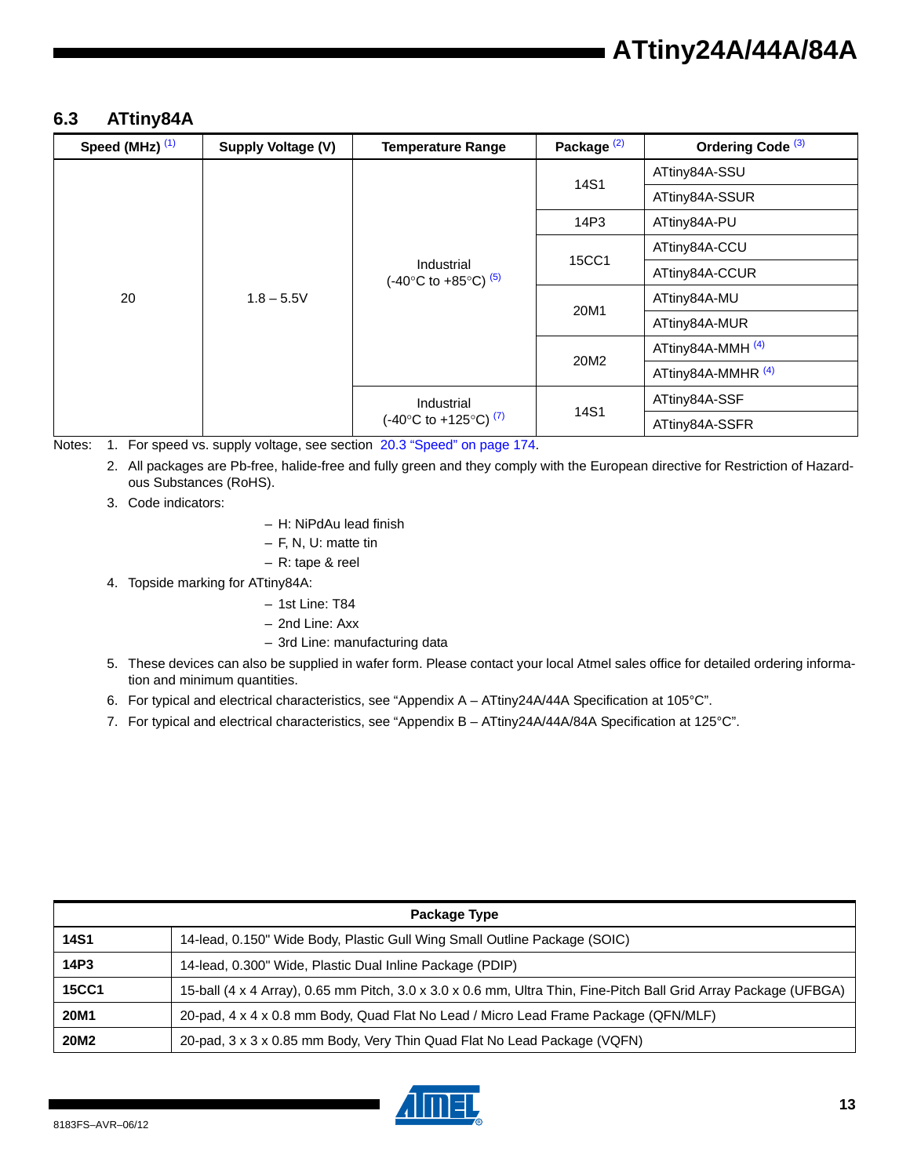#### <span id="page-12-6"></span>**6.3 ATtiny84A**

| Speed (MHz) <sup>(1)</sup> | Supply Voltage (V) | <b>Temperature Range</b>                                           | Package <sup>(2)</sup> | Ordering Code <sup>(3)</sup>  |
|----------------------------|--------------------|--------------------------------------------------------------------|------------------------|-------------------------------|
|                            |                    | Industrial<br>(-40°C to +85°C) $(5)$                               |                        | ATtiny84A-SSU                 |
|                            |                    |                                                                    | 14S1                   | ATtiny84A-SSUR                |
|                            |                    |                                                                    | 14P3                   | ATtiny84A-PU                  |
|                            | $1.8 - 5.5V$       |                                                                    | <b>15CC1</b>           | ATtiny84A-CCU                 |
|                            |                    |                                                                    |                        | ATtiny84A-CCUR                |
| 20                         |                    |                                                                    | 20M1                   | ATtiny84A-MU                  |
|                            |                    |                                                                    |                        | ATtiny84A-MUR                 |
|                            |                    |                                                                    | 20M2                   | ATtiny84A-MMH <sup>(4)</sup>  |
|                            |                    |                                                                    |                        | ATtiny84A-MMHR <sup>(4)</sup> |
|                            |                    | Industrial<br>$(-40^{\circ}$ C to $+125^{\circ}$ C) <sup>(7)</sup> |                        | ATtiny84A-SSF                 |
|                            |                    |                                                                    | 14S1                   | ATtiny84A-SSFR                |

<span id="page-12-1"></span><span id="page-12-0"></span>Notes: 1. For speed vs. supply voltage, see section 20.3 "Speed" on page 174.

2. All packages are Pb-free, halide-free and fully green and they comply with the European directive for Restriction of Hazardous Substances (RoHS).

<span id="page-12-2"></span>3. Code indicators:

– H: NiPdAu lead finish

– F, N, U: matte tin

- R: tape & reel
- <span id="page-12-4"></span>4. Topside marking for ATtiny84A:
	- 1st Line: T84
	- 2nd Line: Axx
	- 3rd Line: manufacturing data
- <span id="page-12-3"></span>5. These devices can also be supplied in wafer form. Please contact your local Atmel sales office for detailed ordering information and minimum quantities.
- 6. For typical and electrical characteristics, see "Appendix A ATtiny24A/44A Specification at 105°C".
- <span id="page-12-5"></span>7. For typical and electrical characteristics, see "Appendix B - ATtiny24A/44A/84A Specification at 125°C".

| Package Type |                                                                                                                  |  |  |  |
|--------------|------------------------------------------------------------------------------------------------------------------|--|--|--|
| 14S1         | 14-lead, 0.150" Wide Body, Plastic Gull Wing Small Outline Package (SOIC)                                        |  |  |  |
| 14P3         | 14-lead, 0.300" Wide, Plastic Dual Inline Package (PDIP)                                                         |  |  |  |
| <b>15CC1</b> | 15-ball (4 x 4 Array), 0.65 mm Pitch, 3.0 x 3.0 x 0.6 mm, Ultra Thin, Fine-Pitch Ball Grid Array Package (UFBGA) |  |  |  |
| 20M1         | 20-pad, 4 x 4 x 0.8 mm Body, Quad Flat No Lead / Micro Lead Frame Package (QFN/MLF)                              |  |  |  |
| 20M2         | 20-pad, 3 x 3 x 0.85 mm Body, Very Thin Quad Flat No Lead Package (VQFN)                                         |  |  |  |

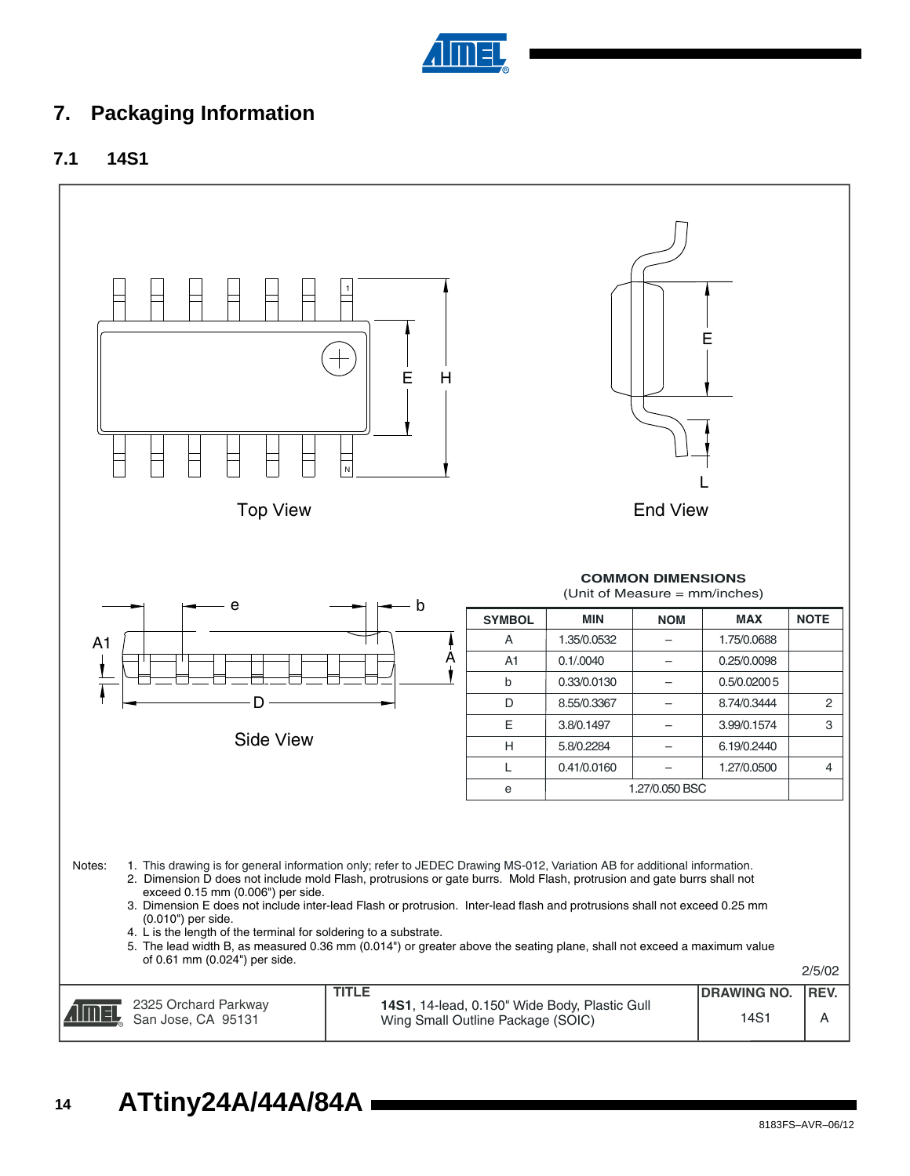

# **7. Packaging Information**





**14 ATtiny24A/44A/84A**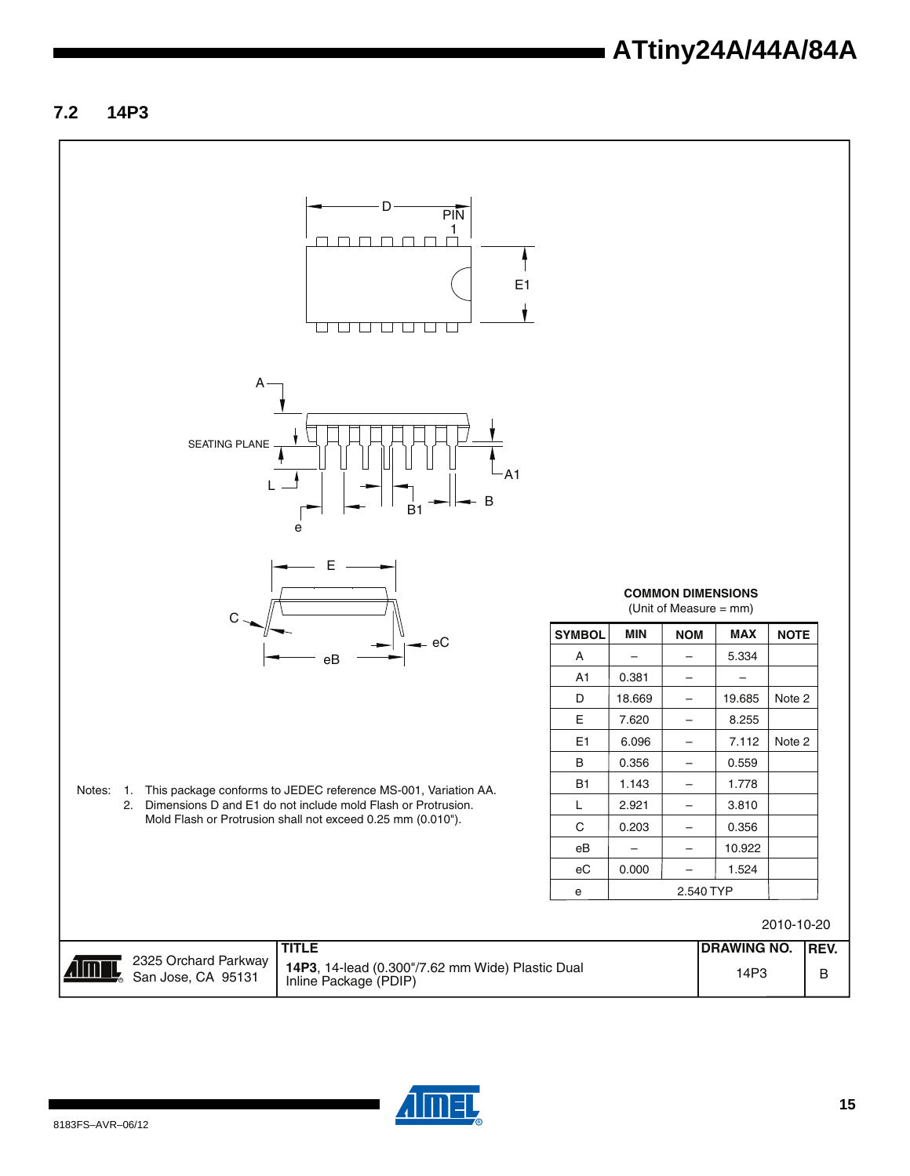#### **7.2 14P3**



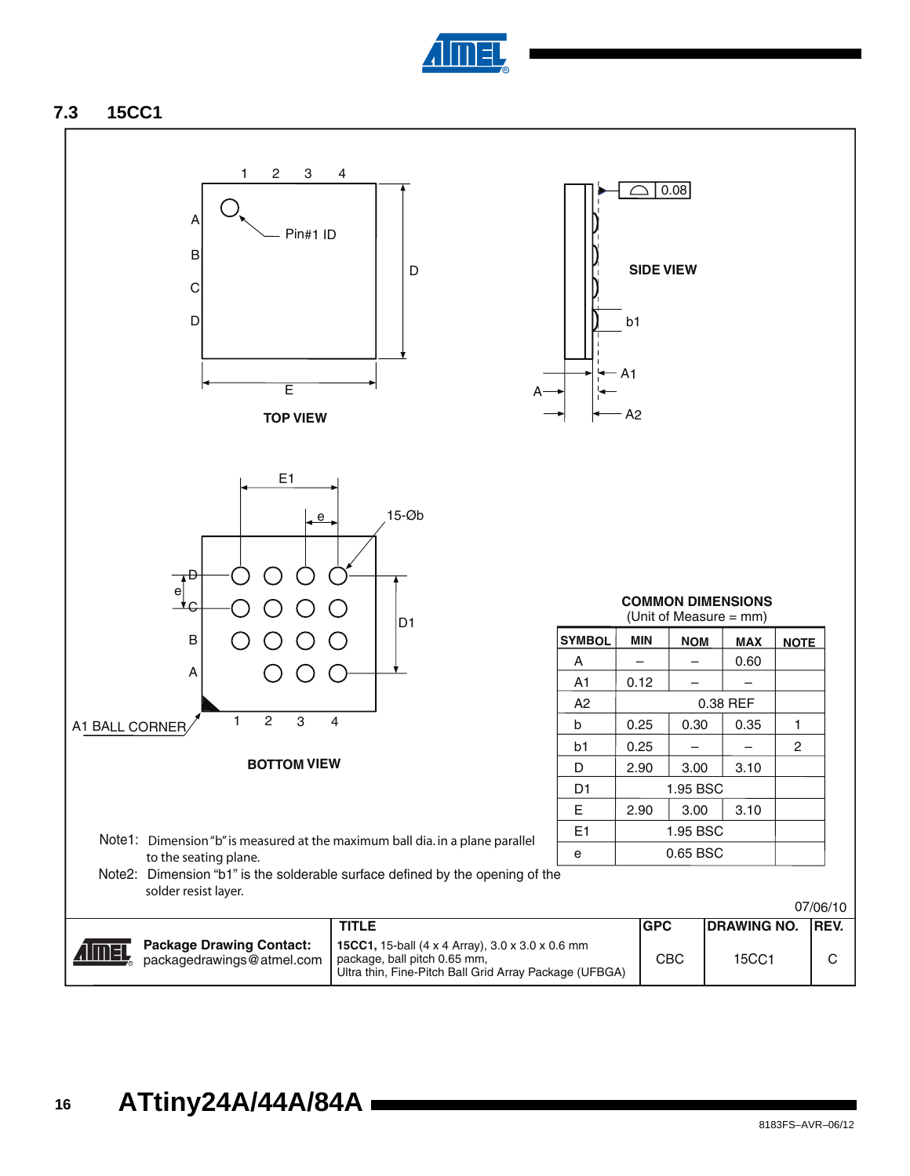

#### <span id="page-15-0"></span>**7.3 15CC1**

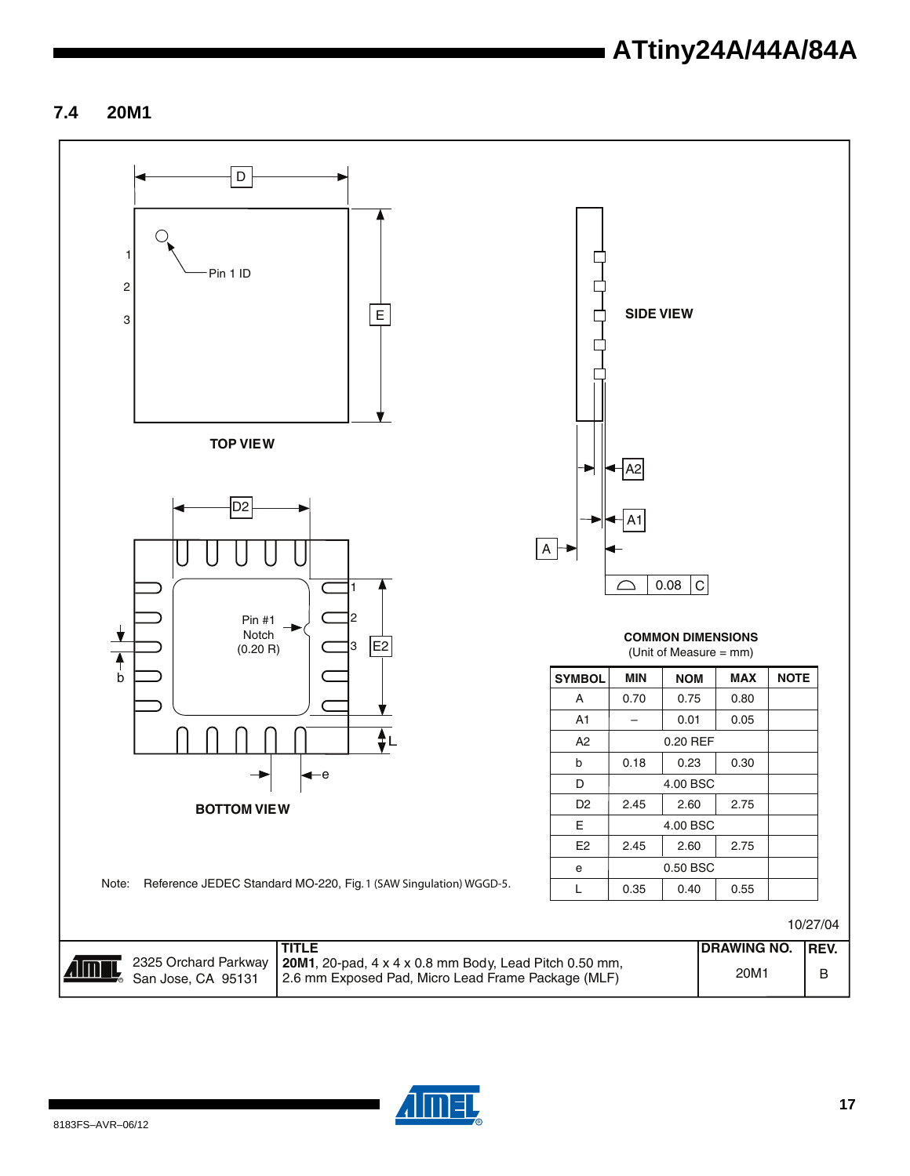### **7.4 20M1**



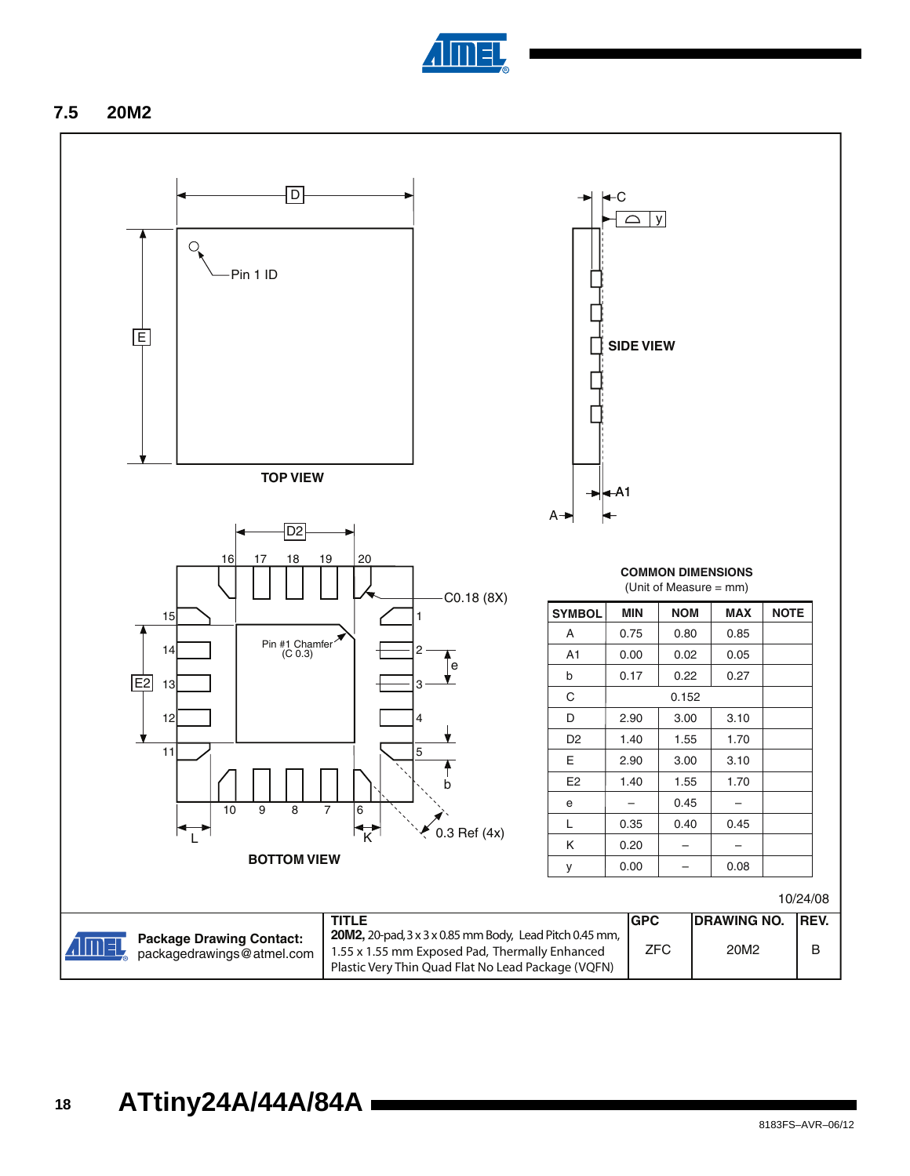

### **7.5 20M2**

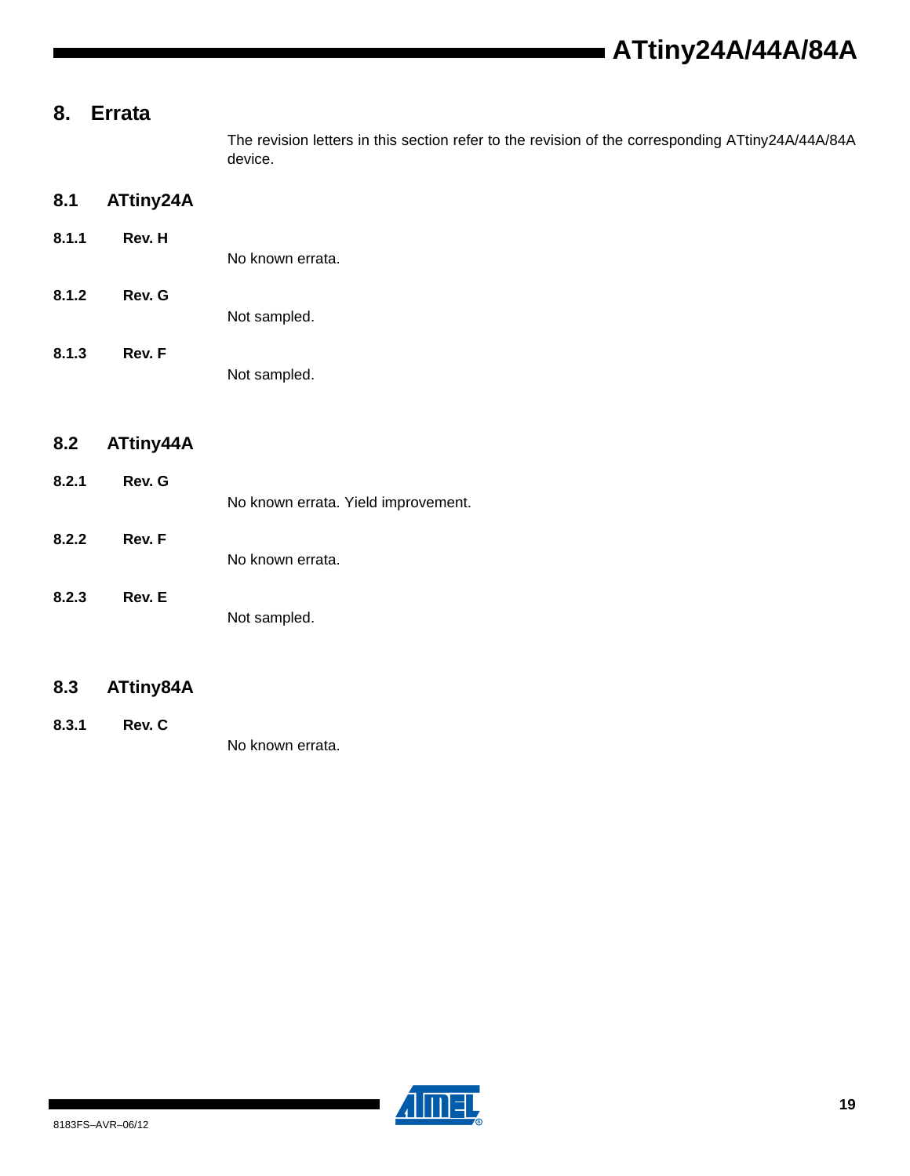# <span id="page-18-0"></span>**8. Errata**

The revision letters in this section refer to the revision of the corresponding ATtiny24A/44A/84A device.

#### <span id="page-18-1"></span>**8.1 ATtiny24A**

- **8.1.1 Rev. H** No known errata.
- **8.1.2 Rev. G**
	- Not sampled.
		- Not sampled.

# <span id="page-18-2"></span>**8.2 ATtiny44A**

**8.1.3 Rev. F**

- **8.2.1 Rev. G** No known errata. Yield improvement.
- **8.2.2 Rev. F** No known errata.
- **8.2.3 Rev. E** Not sampled.

### **8.3 ATtiny84A**

**8.3.1 Rev. C** No known errata.

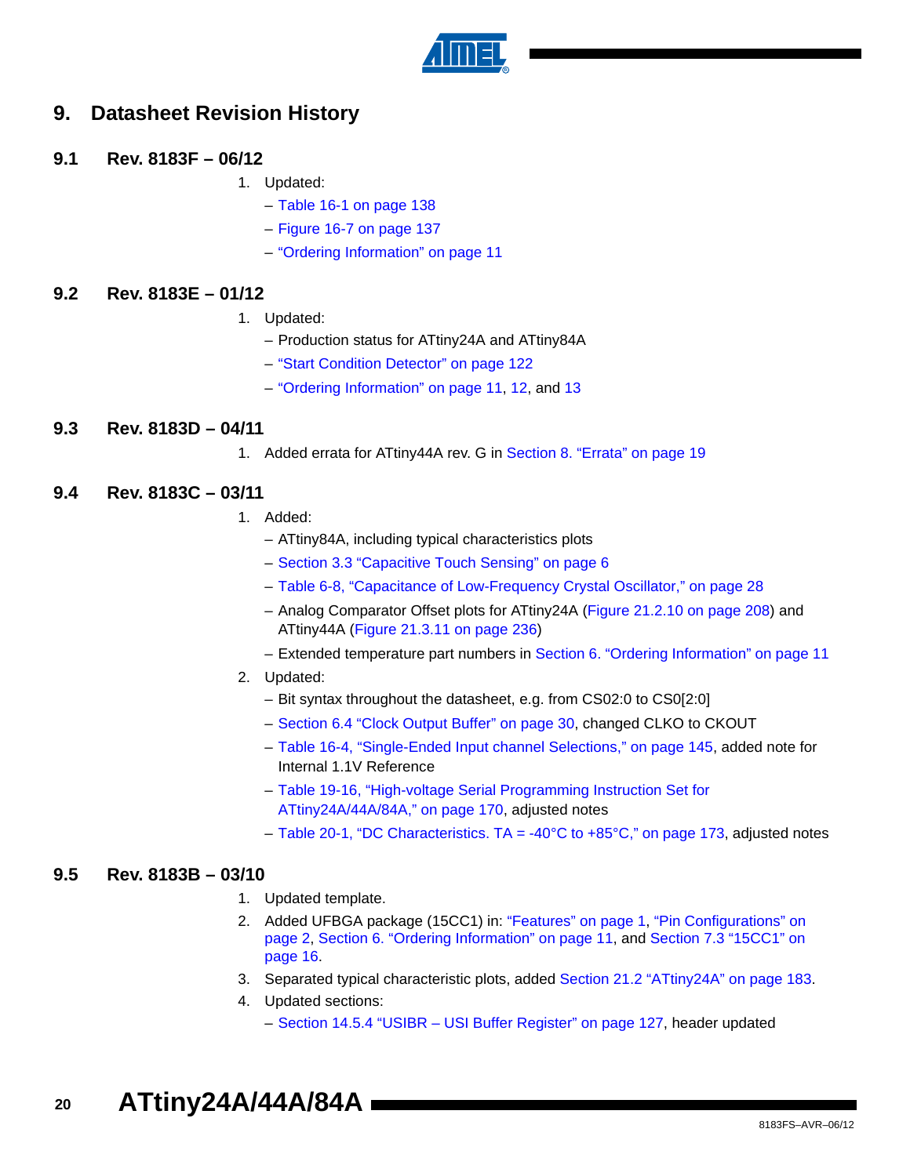

# **9. Datasheet Revision History**

#### **9.1 Rev. 8183F – 06/12**

- 1. Updated:
	- Table 16-1 on page 138
	- Figure 16-7 on page 137
	- ["Ordering Information" on page 11](#page-10-7)

#### **9.2 Rev. 8183E – 01/12**

- 1. Updated:
	- Production status for ATtiny24A and ATtiny84A
	- "Start Condition Detector" on page 122
	- ["Ordering Information" on page 11](#page-10-7), [12,](#page-11-7) and [13](#page-12-6)

#### **9.3 Rev. 8183D – 04/11**

1. Added errata for ATtiny44A rev. G in [Section 8. "Errata" on page 19](#page-18-0)

#### **9.4 Rev. 8183C – 03/11**

- 1. Added:
	- ATtiny84A, including typical characteristics plots
	- [Section 3.3 "Capacitive Touch Sensing" on page 6](#page-5-0)
	- Table 6-8, "Capacitance of Low-Frequency Crystal Oscillator," on page 28
	- Analog Comparator Offset plots for ATtiny24A (Figure 21.2.10 on page 208) and ATtiny44A (Figure 21.3.11 on page 236)
	- Extended temperature part numbers in [Section 6. "Ordering Information" on page 11](#page-10-7)

#### 2. Updated:

- Bit syntax throughout the datasheet, e.g. from CS02:0 to CS0[2:0]
- Section 6.4 "Clock Output Buffer" on page 30, changed CLKO to CKOUT
- Table 16-4, "Single-Ended Input channel Selections," on page 145, added note for Internal 1.1V Reference
- Table 19-16, "High-voltage Serial Programming Instruction Set for ATtiny24A/44A/84A," on page 170, adjusted notes
- Table 20-1, "DC Characteristics. TA = -40°C to +85°C," on page 173, adjusted notes

#### **9.5 Rev. 8183B – 03/10**

- 1. Updated template.
- 2. Added UFBGA package (15CC1) in: ["Features" on page 1,](#page-0-0) ["Pin Configurations" on](#page-1-0)  [page 2,](#page-1-0) [Section 6. "Ordering Information" on page 11,](#page-10-7) and [Section 7.3 "15CC1" on](#page-15-0)  [page 16](#page-15-0).
- 3. Separated typical characteristic plots, added Section 21.2 "ATtiny24A" on page 183.
- 4. Updated sections:
	- Section 14.5.4 "USIBR USI Buffer Register" on page 127, header updated

**20 ATtiny24A/44A/84A**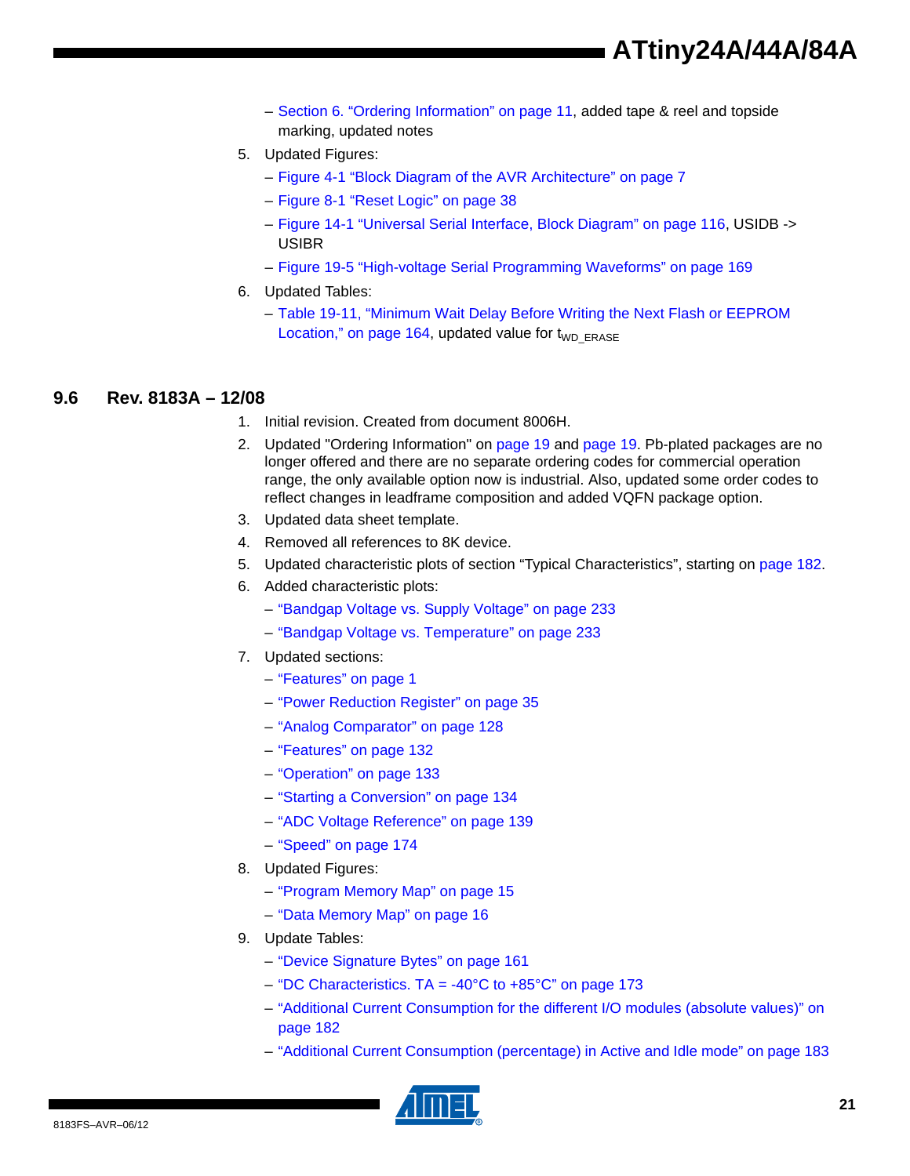- [Section 6. "Ordering Information" on page 11,](#page-10-7) added tape & reel and topside marking, updated notes
- 5. Updated Figures:
	- Figure 4-1 "Block Diagram of the AVR Architecture" on page 7
	- Figure 8-1 "Reset Logic" on page 38
	- Figure 14-1 "Universal Serial Interface, Block Diagram" on page 116, USIDB -> USIBR
	- Figure 19-5 "High-voltage Serial Programming Waveforms" on page 169
- 6. Updated Tables:
	- Table 19-11, "Minimum Wait Delay Before Writing the Next Flash or EEPROM Location," on page 164, updated value for  $t_{WD\_ERASE}$

#### **9.6 Rev. 8183A – 12/08**

- 1. Initial revision. Created from document 8006H.
- 2. Updated "Ordering Information" on [page 19](#page-18-1) and [page 19.](#page-18-2) Pb-plated packages are no longer offered and there are no separate ordering codes for commercial operation range, the only available option now is industrial. Also, updated some order codes to reflect changes in leadframe composition and added VQFN package option.
- 3. Updated data sheet template.
- 4. Removed all references to 8K device.
- 5. Updated characteristic plots of section "Typical Characteristics", starting on page 182.
- 6. Added characteristic plots:
	- "Bandgap Voltage vs. Supply Voltage" on page 233
	- "Bandgap Voltage vs. Temperature" on page 233
- 7. Updated sections:
	- ["Features" on page 1](#page-0-0)
	- "Power Reduction Register" on page 35
	- "Analog Comparator" on page 128
	- "Features" on page 132
	- "Operation" on page 133
	- "Starting a Conversion" on page 134
	- "ADC Voltage Reference" on page 139
	- "Speed" on page 174
- 8. Updated Figures:
	- "Program Memory Map" on page 15
	- "Data Memory Map" on page 16
- 9. Update Tables:
	- "Device Signature Bytes" on page 161
	- "DC Characteristics.  $TA = -40^{\circ}C$  to  $+85^{\circ}C$ " on page 173
	- "Additional Current Consumption for the different I/O modules (absolute values)" on page 182
	- "Additional Current Consumption (percentage) in Active and Idle mode" on page 183